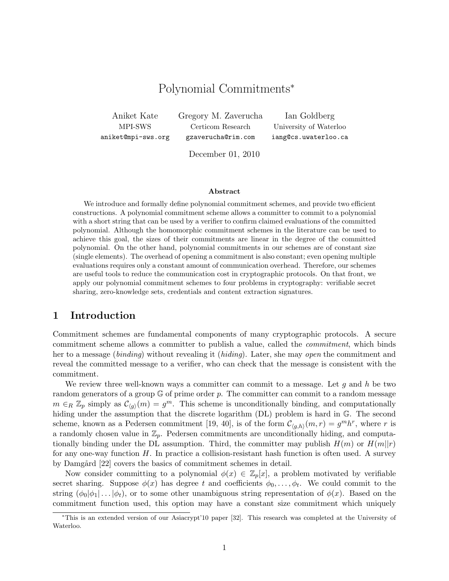# Polynomial Commitments<sup>∗</sup>

Aniket Kate Gregory M. Zaverucha Ian Goldberg

MPI-SWS Certicom Research University of Waterloo aniket@mpi-sws.org gzaverucha@rim.com iang@cs.uwaterloo.ca

December 01, 2010

#### Abstract

We introduce and formally define polynomial commitment schemes, and provide two efficient constructions. A polynomial commitment scheme allows a committer to commit to a polynomial with a short string that can be used by a verifier to confirm claimed evaluations of the committed polynomial. Although the homomorphic commitment schemes in the literature can be used to achieve this goal, the sizes of their commitments are linear in the degree of the committed polynomial. On the other hand, polynomial commitments in our schemes are of constant size (single elements). The overhead of opening a commitment is also constant; even opening multiple evaluations requires only a constant amount of communication overhead. Therefore, our schemes are useful tools to reduce the communication cost in cryptographic protocols. On that front, we apply our polynomial commitment schemes to four problems in cryptography: verifiable secret sharing, zero-knowledge sets, credentials and content extraction signatures.

### 1 Introduction

Commitment schemes are fundamental components of many cryptographic protocols. A secure commitment scheme allows a committer to publish a value, called the commitment, which binds her to a message (binding) without revealing it (hiding). Later, she may open the commitment and reveal the committed message to a verifier, who can check that the message is consistent with the commitment.

We review three well-known ways a committer can commit to a message. Let  $g$  and  $h$  be two random generators of a group  $\mathbb G$  of prime order p. The committer can commit to a random message  $m \in_R \mathbb{Z}_p$  simply as  $\mathcal{C}_{\langle g \rangle}(m) = g^m$ . This scheme is unconditionally binding, and computationally hiding under the assumption that the discrete logarithm (DL) problem is hard in G. The second scheme, known as a Pedersen commitment [19, 40], is of the form  $\mathcal{C}_{(g,h)}(m,r) = g^m h^r$ , where r is a randomly chosen value in  $\mathbb{Z}_p$ . Pedersen commitments are unconditionally hiding, and computationally binding under the DL assumption. Third, the committer may publish  $H(m)$  or  $H(m||r)$ for any one-way function  $H$ . In practice a collision-resistant hash function is often used. A survey by Damgård [22] covers the basics of commitment schemes in detail.

Now consider committing to a polynomial  $\phi(x) \in \mathbb{Z}_p[x]$ , a problem motivated by verifiable secret sharing. Suppose  $\phi(x)$  has degree t and coefficients  $\phi_0, \ldots, \phi_t$ . We could commit to the string  $(\phi_0|\phi_1| \dots |\phi_t)$ , or to some other unambiguous string representation of  $\phi(x)$ . Based on the commitment function used, this option may have a constant size commitment which uniquely

<sup>∗</sup>This is an extended version of our Asiacrypt'10 paper [32]. This research was completed at the University of Waterloo.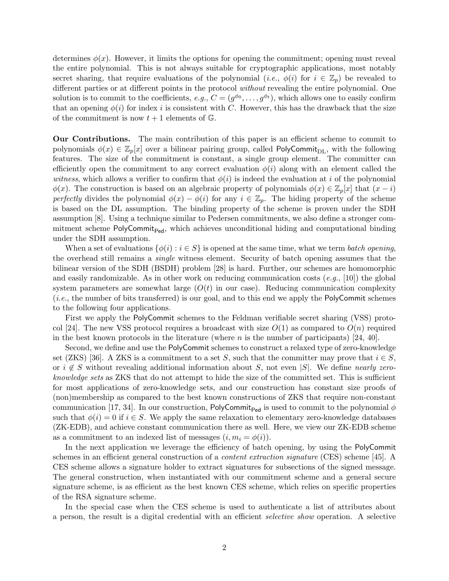determines  $\phi(x)$ . However, it limits the options for opening the commitment; opening must reveal the entire polynomial. This is not always suitable for cryptographic applications, most notably secret sharing, that require evaluations of the polynomial (*i.e.*,  $\phi(i)$  for  $i \in \mathbb{Z}_p$ ) be revealed to different parties or at different points in the protocol without revealing the entire polynomial. One solution is to commit to the coefficients,  $e.g., C = (g^{\phi_0}, \ldots, g^{\phi_t}),$  which allows one to easily confirm that an opening  $\phi(i)$  for index i is consistent with C. However, this has the drawback that the size of the commitment is now  $t + 1$  elements of  $\mathbb{G}$ .

Our Contributions. The main contribution of this paper is an efficient scheme to commit to polynomials  $\phi(x) \in \mathbb{Z}_p[x]$  over a bilinear pairing group, called PolyCommit<sub>DL</sub>, with the following features. The size of the commitment is constant, a single group element. The committer can efficiently open the commitment to any correct evaluation  $\phi(i)$  along with an element called the witness, which allows a verifier to confirm that  $\phi(i)$  is indeed the evaluation at i of the polynomial  $\phi(x)$ . The construction is based on an algebraic property of polynomials  $\phi(x) \in \mathbb{Z}_p[x]$  that  $(x - i)$ perfectly divides the polynomial  $\phi(x) - \phi(i)$  for any  $i \in \mathbb{Z}_p$ . The hiding property of the scheme is based on the DL assumption. The binding property of the scheme is proven under the SDH assumption [8]. Using a technique similar to Pedersen commitments, we also define a stronger commitment scheme  $PolyCommit_{Ped}$ , which achieves unconditional hiding and computational binding under the SDH assumption.

When a set of evaluations  $\{\phi(i): i \in S\}$  is opened at the same time, what we term *batch opening*, the overhead still remains a single witness element. Security of batch opening assumes that the bilinear version of the SDH (BSDH) problem [28] is hard. Further, our schemes are homomorphic and easily randomizable. As in other work on reducing communication costs  $(e,q,[10])$  the global system parameters are somewhat large  $(O(t))$  in our case). Reducing communication complexity (i.e., the number of bits transferred) is our goal, and to this end we apply the PolyCommit schemes to the following four applications.

First we apply the PolyCommit schemes to the Feldman verifiable secret sharing (VSS) protocol [24]. The new VSS protocol requires a broadcast with size  $O(1)$  as compared to  $O(n)$  required in the best known protocols in the literature (where  $n$  is the number of participants) [24, 40].

Second, we define and use the PolyCommit schemes to construct a relaxed type of zero-knowledge set (ZKS) [36]. A ZKS is a commitment to a set S, such that the committer may prove that  $i \in S$ , or  $i \notin S$  without revealing additional information about S, not even |S|. We define nearly zeroknowledge sets as ZKS that do not attempt to hide the size of the committed set. This is sufficient for most applications of zero-knowledge sets, and our construction has constant size proofs of (non)membership as compared to the best known constructions of ZKS that require non-constant communication [17, 34]. In our construction, PolyCommit<sub>Ped</sub> is used to commit to the polynomial  $\phi$ such that  $\phi(i) = 0$  if  $i \in S$ . We apply the same relaxation to elementary zero-knowledge databases (ZK-EDB), and achieve constant communication there as well. Here, we view our ZK-EDB scheme as a commitment to an indexed list of messages  $(i, m_i = \phi(i)).$ 

In the next application we leverage the efficiency of batch opening, by using the PolyCommit schemes in an efficient general construction of a *content extraction signature* (CES) scheme [45]. A CES scheme allows a signature holder to extract signatures for subsections of the signed message. The general construction, when instantiated with our commitment scheme and a general secure signature scheme, is as efficient as the best known CES scheme, which relies on specific properties of the RSA signature scheme.

In the special case when the CES scheme is used to authenticate a list of attributes about a person, the result is a digital credential with an efficient selective show operation. A selective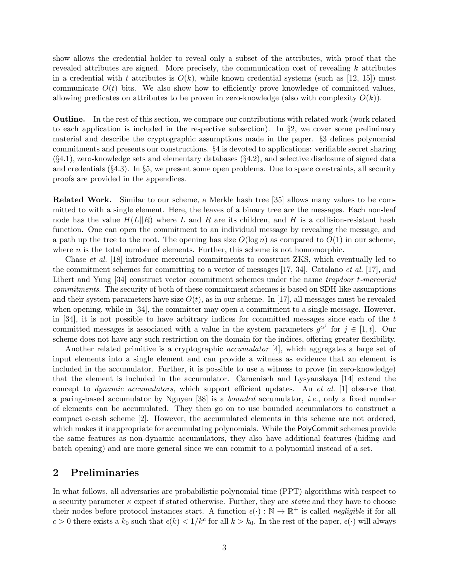show allows the credential holder to reveal only a subset of the attributes, with proof that the revealed attributes are signed. More precisely, the communication cost of revealing  $k$  attributes in a credential with t attributes is  $O(k)$ , while known credential systems (such as [12, 15]) must communicate  $O(t)$  bits. We also show how to efficiently prove knowledge of committed values, allowing predicates on attributes to be proven in zero-knowledge (also with complexity  $O(k)$ ).

Outline. In the rest of this section, we compare our contributions with related work (work related to each application is included in the respective subsection). In  $\S$ 2, we cover some preliminary material and describe the cryptographic assumptions made in the paper. §3 defines polynomial commitments and presents our constructions. §4 is devoted to applications: verifiable secret sharing  $(\S4.1)$ , zero-knowledge sets and elementary databases  $(\S4.2)$ , and selective disclosure of signed data and credentials  $(\S 4.3)$ . In  $\S 5$ , we present some open problems. Due to space constraints, all security proofs are provided in the appendices.

Related Work. Similar to our scheme, a Merkle hash tree [35] allows many values to be committed to with a single element. Here, the leaves of a binary tree are the messages. Each non-leaf node has the value  $H(L||R)$  where L and R are its children, and H is a collision-resistant hash function. One can open the commitment to an individual message by revealing the message, and a path up the tree to the root. The opening has size  $O(\log n)$  as compared to  $O(1)$  in our scheme, where  $n$  is the total number of elements. Further, this scheme is not homomorphic.

Chase et al. [18] introduce mercurial commitments to construct ZKS, which eventually led to the commitment schemes for committing to a vector of messages  $[17, 34]$ . Catalano *et al.*  $[17]$ , and Libert and Yung [34] construct vector commitment schemes under the name trapdoor t-mercurial commitments. The security of both of these commitment schemes is based on SDH-like assumptions and their system parameters have size  $O(t)$ , as in our scheme. In [17], all messages must be revealed when opening, while in [34], the committer may open a commitment to a single message. However, in [34], it is not possible to have arbitrary indices for committed messages since each of the  $t$ committed messages is associated with a value in the system parameters  $g^{\alpha^j}$  for  $j \in [1, t]$ . Our scheme does not have any such restriction on the domain for the indices, offering greater flexibility.

Another related primitive is a cryptographic *accumulator* [4], which aggregates a large set of input elements into a single element and can provide a witness as evidence that an element is included in the accumulator. Further, it is possible to use a witness to prove (in zero-knowledge) that the element is included in the accumulator. Camenisch and Lysyanskaya [14] extend the concept to dynamic accumulators, which support efficient updates. Au et al. [1] observe that a paring-based accumulator by Nguyen [38] is a bounded accumulator, i.e., only a fixed number of elements can be accumulated. They then go on to use bounded accumulators to construct a compact e-cash scheme [2]. However, the accumulated elements in this scheme are not ordered, which makes it inappropriate for accumulating polynomials. While the PolyCommit schemes provide the same features as non-dynamic accumulators, they also have additional features (hiding and batch opening) and are more general since we can commit to a polynomial instead of a set.

### 2 Preliminaries

In what follows, all adversaries are probabilistic polynomial time (PPT) algorithms with respect to a security parameter  $\kappa$  expect if stated otherwise. Further, they are *static* and they have to choose their nodes before protocol instances start. A function  $\epsilon(\cdot): \mathbb{N} \to \mathbb{R}^+$  is called *negligible* if for all  $c > 0$  there exists a  $k_0$  such that  $\epsilon(k) < 1/k^c$  for all  $k > k_0$ . In the rest of the paper,  $\epsilon(\cdot)$  will always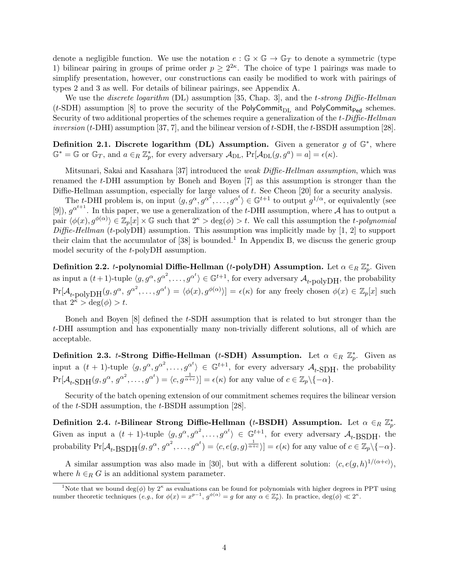denote a negligible function. We use the notation  $e : \mathbb{G} \times \mathbb{G} \to \mathbb{G}_T$  to denote a symmetric (type 1) bilinear pairing in groups of prime order  $p \geq 2^{2\kappa}$ . The choice of type 1 pairings was made to simplify presentation, however, our constructions can easily be modified to work with pairings of types 2 and 3 as well. For details of bilinear pairings, see Appendix A.

We use the *discrete logarithm* (DL) assumption [35, Chap. 3], and the *t*-strong Diffie-Hellman (t-SDH) assumption [8] to prove the security of the PolyCommit<sub>DL</sub> and PolyCommit<sub>Ped</sub> schemes. Security of two additional properties of the schemes require a generalization of the t-Diffie-Hellman *inversion* (*t*-DHI) assumption [37, 7], and the bilinear version of *t*-SDH, the *t*-BSDH assumption [28].

Definition 2.1. Discrete logarithm (DL) Assumption. Given a generator  $g$  of  $\mathbb{G}^*$ , where  $\mathbb{G}^* = \mathbb{G}$  or  $\mathbb{G}_T$ , and  $a \in_R \mathbb{Z}_p^*$ , for every adversary  $\mathcal{A}_{\text{DL}}$ ,  $\Pr[\mathcal{A}_{\text{DL}}(g, g^a) = a] = \epsilon(\kappa)$ .

Mitsunari, Sakai and Kasahara [37] introduced the weak Diffie-Hellman assumption, which was renamed the t-DHI assumption by Boneh and Boyen [7] as this assumption is stronger than the Diffie-Hellman assumption, especially for large values of t. See Cheon [20] for a security analysis.

The t-DHI problem is, on input  $\langle g, g^\alpha, g^{\alpha^2}, \ldots, g^{\alpha^t} \rangle \in \mathbb{G}^{t+1}$  to output  $g^{1/\alpha}$ , or equivalently (see [9]),  $g^{\alpha^{t+1}}$ . In this paper, we use a generalization of the t-DHI assumption, where A has to output a pair  $\langle \phi(x), g^{\phi(\alpha)} \rangle \in \mathbb{Z}_p[x] \times \mathbb{G}$  such that  $2^{\kappa} > \deg(\phi) > t$ . We call this assumption the t-polynomial  $Diffie-Hellman$  (t-polyDH) assumption. This assumption was implicitly made by [1, 2] to support their claim that the accumulator of  $[38]$  is bounded.<sup>1</sup> In Appendix B, we discuss the generic group model security of the t-polyDH assumption.

Definition 2.2. *t*-polynomial Diffie-Hellman (*t*-polyDH) Assumption. Let  $\alpha \in_R \mathbb{Z}_p^*$ . Given as input a  $(t+1)$ -tuple  $\langle g, g^\alpha, g^{\alpha^2}, \dots, g^{\alpha^t} \rangle \in \mathbb{G}^{t+1}$ , for every adversary  $\mathcal{A}_{t-\text{polyDH}}$ , the probability  $\Pr[\mathcal{A}_{t-\text{polyDH}}(g, g^{\alpha}, g^{\alpha^2}, \dots, g^{\alpha^t}) = \langle \phi(x), g^{\phi(\alpha)} \rangle] = \epsilon(\kappa)$  for any freely chosen  $\phi(x) \in \mathbb{Z}_p[x]$  such that  $2^{\bar{\kappa}} > \deg(\phi) > t$ .

Boneh and Boyen [8] defined the t-SDH assumption that is related to but stronger than the t-DHI assumption and has exponentially many non-trivially different solutions, all of which are acceptable.

Definition 2.3. t-Strong Diffie-Hellman (t-SDH) Assumption. Let  $\alpha \in_R \mathbb{Z}_p^*$ . Given as input a  $(t + 1)$ -tuple  $\langle g, g^\alpha, g^{\alpha^2}, \dots, g^{\alpha^t} \rangle \in \mathbb{G}^{t+1}$ , for every adversary  $\mathcal{A}_{t}$ -SDH, the probability  $Pr[\mathcal{A}_{t\text{-}}SDH(g, g^{\alpha}, g^{\alpha^2}, \dots, g^{\alpha^t}) = \langle c, g^{\frac{1}{\alpha+c}} \rangle] = \epsilon(\kappa)$  for any value of  $c \in \mathbb{Z}_p \setminus \{-\alpha\}.$ 

Security of the batch opening extension of our commitment schemes requires the bilinear version of the t-SDH assumption, the t-BSDH assumption [28].

Definition 2.4. *t*-Bilinear Strong Diffie-Hellman (*t*-BSDH) Assumption. Let  $\alpha \in_R \mathbb{Z}_p^*$ . Given as input a  $(t + 1)$ -tuple  $\langle g, g^\alpha, g^{\alpha^2}, \dots, g^{\alpha^t} \rangle \in \mathbb{G}^{t+1}$ , for every adversary  $\mathcal{A}_{t-}$ BSDH, the probability  $Pr[\mathcal{A}_{t-}BSDH(g, g^{\alpha}, g^{\alpha^2}, \dots, g^{\alpha^t}) = \langle c, e(g, g)^{\frac{1}{\alpha+c}} \rangle] = \epsilon(\kappa)$  for any value of  $c \in \mathbb{Z}_p \setminus \{-\alpha\}.$ 

A similar assumption was also made in [30], but with a different solution:  $\langle c, e(g, h)^{1/(\alpha+c)} \rangle$ , where  $h \in_R G$  is an additional system parameter.

<sup>&</sup>lt;sup>1</sup>Note that we bound deg( $\phi$ ) by 2<sup>k</sup> as evaluations can be found for polynomials with higher degrees in PPT using number theoretic techniques  $(e.g., for \phi(x) = x^{p-1}, g^{\phi(\alpha)} = g \text{ for any } \alpha \in \mathbb{Z}_p^*).$  In practice,  $deg(\phi) \ll 2^{\kappa}$ .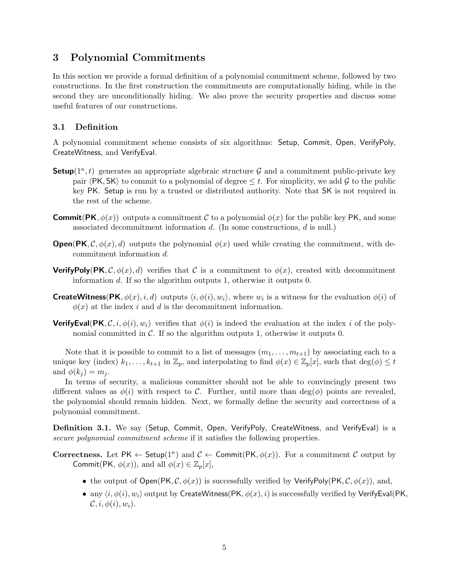# 3 Polynomial Commitments

In this section we provide a formal definition of a polynomial commitment scheme, followed by two constructions. In the first construction the commitments are computationally hiding, while in the second they are unconditionally hiding. We also prove the security properties and discuss some useful features of our constructions.

### 3.1 Definition

A polynomial commitment scheme consists of six algorithms: Setup, Commit, Open, VerifyPoly, CreateWitness, and VerifyEval.

- **Setup**( $1^{\kappa}$ , t) generates an appropriate algebraic structure G and a commitment public-private key pair  $\langle$  PK, SK $\rangle$  to commit to a polynomial of degree  $\leq t$ . For simplicity, we add G to the public key PK. Setup is run by a trusted or distributed authority. Note that SK is not required in the rest of the scheme.
- **Commit(PK,**  $\phi(x)$ ) outputs a commitment C to a polynomial  $\phi(x)$  for the public key PK, and some associated decommitment information  $d$ . (In some constructions,  $d$  is null.)
- **Open(PK, C,**  $\phi(x)$ , d) outputs the polynomial  $\phi(x)$  used while creating the commitment, with decommitment information d.
- **VerifyPoly(PK, C,**  $\phi(x)$ , d) verifies that C is a commitment to  $\phi(x)$ , created with decommitment information d. If so the algorithm outputs 1, otherwise it outputs 0.
- **CreateWitness(PK**,  $\phi(x)$ , *i*, *d*) outputs  $\langle i, \phi(i), w_i \rangle$ , where  $w_i$  is a witness for the evaluation  $\phi(i)$  of  $\phi(x)$  at the index i and d is the decommitment information.
- **VerifyEval(PK,** C, i,  $\phi(i), w_i$ ) verifies that  $\phi(i)$  is indeed the evaluation at the index i of the polynomial committed in  $\mathcal{C}$ . If so the algorithm outputs 1, otherwise it outputs 0.

Note that it is possible to commit to a list of messages  $(m_1, \ldots, m_{t+1})$  by associating each to a unique key (index)  $k_1, \ldots, k_{t+1}$  in  $\mathbb{Z}_p$ , and interpolating to find  $\phi(x) \in \mathbb{Z}_p[x]$ , such that  $\deg(\phi) \leq t$ and  $\phi(k_i) = m_i$ .

In terms of security, a malicious committer should not be able to convincingly present two different values as  $\phi(i)$  with respect to C. Further, until more than deg( $\phi$ ) points are revealed, the polynomial should remain hidden. Next, we formally define the security and correctness of a polynomial commitment.

Definition 3.1. We say (Setup, Commit, Open, VerifyPoly, CreateWitness, and VerifyEval) is a secure polynomial commitment scheme if it satisfies the following properties.

Correctness. Let PK  $\leftarrow$  Setup(1<sup>k</sup>) and  $\mathcal{C} \leftarrow$  Commit(PK,  $\phi(x)$ ). For a commitment  $\mathcal{C}$  output by Commit(PK,  $\phi(x)$ ), and all  $\phi(x) \in \mathbb{Z}_p[x]$ ,

- the output of  $Open(PK, \mathcal{C}, \phi(x))$  is successfully verified by VerifyPoly(PK,  $\mathcal{C}, \phi(x)$ ), and,
- any  $\langle i, \phi(i), w_i \rangle$  output by CreateWitness(PK,  $\phi(x), i$ ) is successfully verified by VerifyEval(PK,  $\mathcal{C}, i, \phi(i), w_i$ ).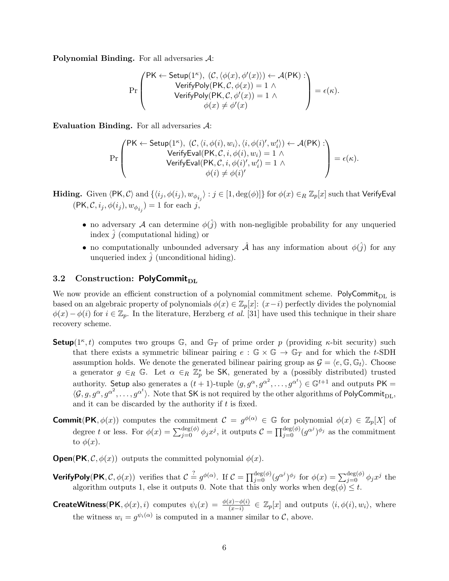Polynomial Binding. For all adversaries A:

$$
\Pr\left(\begin{matrix}\mathsf{PK}\leftarrow\mathsf{Setup}(1^\kappa),\ (\mathcal{C},\langle\phi(x),\phi'(x)\rangle)\leftarrow\mathcal{A}(\mathsf{PK}):\\ \mathsf{VerifyPoly}(\mathsf{PK},\mathcal{C},\phi(x))=1\ \wedge\\ \mathsf{VerifyPoly}(\mathsf{PK},\mathcal{C},\phi'(x))=1\ \wedge\\ \phi(x)\neq\phi'(x)\end{matrix}\right)=\epsilon(\kappa).
$$

Evaluation Binding. For all adversaries A:

$$
\Pr\left(\begin{matrix}\n\textsf{PK} \leftarrow \textsf{Setup}(1^{\kappa}), \ (\mathcal{C}, \langle i, \phi(i), w_i \rangle, \langle i, \phi(i)', w_i' \rangle) \leftarrow \mathcal{A}(\textsf{PK}) : \\
\textsf{VerifyEval}(\textsf{PK}, \mathcal{C}, i, \phi(i), w_i) = 1 \land \\
\textsf{VerifyEval}(\textsf{PK}, \mathcal{C}, i, \phi(i)', w_i') = 1 \land \\
\phi(i) \neq \phi(i)'\n\end{matrix}\right) = \epsilon(\kappa).
$$

**Hiding.** Given  $\langle$ PK,  $C \rangle$  and  $\{ \langle i_j, \phi(i_j), w_{\phi_{i_j}} \rangle : j \in [1, \deg(\phi)] \}$  for  $\phi(x) \in_R \mathbb{Z}_p[x]$  such that VerifyEval  $(\mathsf{PK}, \mathcal{C}, i_j, \phi(i_j), w_{\phi_{i_j}}) = 1$  for each j,

- no adversary A can determine  $\phi(\hat{j})$  with non-negligible probability for any unqueried index  $\hat{i}$  (computational hiding) or
- no computationally unbounded adversary  $\hat{\mathcal{A}}$  has any information about  $\phi(\hat{j})$  for any unqueried index  $j$  (unconditional hiding).

### 3.2 Construction: PolyCommit<sub>DL</sub>

We now provide an efficient construction of a polynomial commitment scheme. PolyCommit $_{\text{DL}}$  is based on an algebraic property of polynomials  $\phi(x) \in \mathbb{Z}_p[x]$ :  $(x-i)$  perfectly divides the polynomial  $\phi(x) - \phi(i)$  for  $i \in \mathbb{Z}_p$ . In the literature, Herzberg *et al.* [31] have used this technique in their share recovery scheme.

- **Setup**( $1^{\kappa}$ , t) computes two groups  $\mathbb{G}$ , and  $\mathbb{G}_T$  of prime order p (providing  $\kappa$ -bit security) such that there exists a symmetric bilinear pairing  $e : \mathbb{G} \times \mathbb{G} \to \mathbb{G}_T$  and for which the t-SDH assumption holds. We denote the generated bilinear pairing group as  $\mathcal{G} = \langle e, \mathbb{G}, \mathbb{G}_t \rangle$ . Choose a generator  $g \in_R \mathbb{G}$ . Let  $\alpha \in_R \mathbb{Z}_p^*$  be SK, generated by a (possibly distributed) trusted authority. Setup also generates a  $(t+1)$ -tuple  $\langle g, g^\alpha, g^{\alpha^2}, \ldots, g^{\alpha^t} \rangle \in \mathbb{G}^{t+1}$  and outputs PK =  $\langle \mathcal{G}, g, g^{\alpha}, g^{\alpha^2}, \ldots, g^{\alpha^t} \rangle$ . Note that SK is not required by the other algorithms of PolyCommit<sub>DL</sub>, and it can be discarded by the authority if  $t$  is fixed.
- **Commit(PK**,  $\phi(x)$ ) computes the commitment  $\mathcal{C} = g^{\phi(\alpha)} \in \mathbb{G}$  for polynomial  $\phi(x) \in \mathbb{Z}_p[X]$  of degree t or less. For  $\phi(x) = \sum_{j=0}^{\deg(\phi)} \phi_j x^j$ , it outputs  $\mathcal{C} = \prod_{j=0}^{\deg(\phi)} (g^{\alpha^j})^{\phi_j}$  as the commitment to  $\phi(x)$ .
- **Open(PK,**  $\mathcal{C}, \phi(x)$ ) outputs the committed polynomial  $\phi(x)$ .
- **VerifyPoly(PK**,  $\mathcal{C}$ ,  $\phi(x)$ ) verifies that  $\mathcal{C} \stackrel{?}{=} g^{\phi(\alpha)}$ . If  $\mathcal{C} = \prod_{j=0}^{\deg(\phi)} (g^{\alpha^j})^{\phi_j}$  for  $\phi(x) = \sum_{j=0}^{\deg(\phi)} \phi_j x^j$  the algorithm outputs 1, else it outputs 0. Note that this only works when  $\deg(\phi) \leq t$ .
- **CreateWitness(PK**,  $\phi(x)$ , *i*) computes  $\psi_i(x) = \frac{\phi(x) \phi(i)}{(x-i)} \in \mathbb{Z}_p[x]$  and outputs  $\langle i, \phi(i), w_i \rangle$ , where the witness  $w_i = g^{\psi_i(\alpha)}$  is computed in a manner similar to C, above.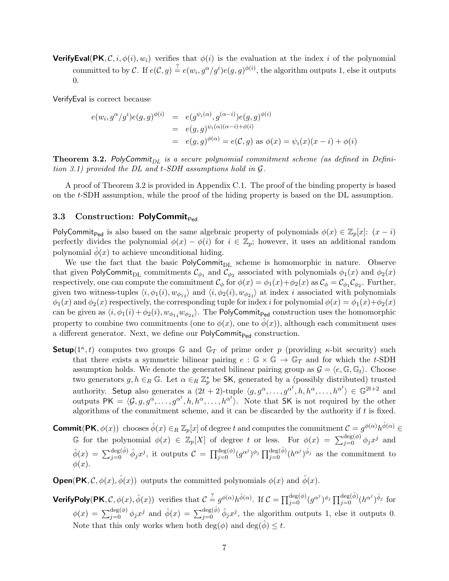**VerifyEval(PK,**  $\mathcal{C}, i, \phi(i), w_i$ ) verifies that  $\phi(i)$  is the evaluation at the index i of the polynomial committed to by C. If  $e(C, g) \stackrel{?}{=} e(w_i, g^{\alpha}/g^i)e(g, g)^{\phi(i)}$ , the algorithm outputs 1, else it outputs 0.

VerifyEval is correct because

$$
e(w_i, g^{\alpha}/g^i)e(g, g)^{\phi(i)} = e(g^{\psi_i(\alpha)}, g^{(\alpha-i)})e(g, g)^{\phi(i)}
$$
  
=  $e(g, g)^{\psi_i(\alpha)(\alpha-i) + \phi(i)}$   
=  $e(g, g)^{\phi(\alpha)} = e(\mathcal{C}, g)$  as  $\phi(x) = \psi_i(x)(x - i) + \phi(i)$ 

**Theorem 3.2.** PolyCommit<sub>DL</sub> is a secure polynomial commitment scheme (as defined in Definition 3.1) provided the DL and t-SDH assumptions hold in G.

A proof of Theorem 3.2 is provided in Appendix C.1. The proof of the binding property is based on the t-SDH assumption, while the proof of the hiding property is based on the DL assumption.

#### 3.3 Construction: PolyCommit<sub>Ped</sub>

PolyCommit<sub>Ped</sub> is also based on the same algebraic property of polynomials  $\phi(x) \in \mathbb{Z}_p[x]$ :  $(x - i)$ perfectly divides the polynomial  $\phi(x) - \phi(i)$  for  $i \in \mathbb{Z}_p$ ; however, it uses an additional random polynomial  $\phi(x)$  to achieve unconditional hiding.

We use the fact that the basic  $PolyCommit_{DL}$  scheme is homomorphic in nature. Observe that given PolyCommit<sub>DL</sub> commitments  $\mathcal{C}_{\phi_1}$  and  $\mathcal{C}_{\phi_2}$  associated with polynomials  $\phi_1(x)$  and  $\phi_2(x)$ respectively, one can compute the commitment  $\mathcal{C}_{\phi}$  for  $\phi(x) = \phi_1(x) + \phi_2(x)$  as  $\mathcal{C}_{\phi} = \mathcal{C}_{\phi_1} \mathcal{C}_{\phi_2}$ . Further, given two witness-tuples  $\langle i, \phi_1(i), w_{\phi_1 i} \rangle$  and  $\langle i, \phi_2(i), w_{\phi_2 i} \rangle$  at index i associated with polynomials  $\phi_1(x)$  and  $\phi_2(x)$  respectively, the corresponding tuple for index i for polynomial  $\phi(x) = \phi_1(x) + \phi_2(x)$ can be given as  $\langle i, \phi_1(i) + \phi_2(i), w_{\phi_{1i}}w_{\phi_{2i}}\rangle$ . The PolyCommit<sub>Ped</sub> construction uses the homomorphic property to combine two commitments (one to  $\phi(x)$ , one to  $\phi(x)$ ), although each commitment uses a different generator. Next, we define our  $\mathsf{PolyCommit}_{\mathsf{Ped}}$  construction.

- **Setup**( $1^{\kappa}$ , t) computes two groups  $\mathbb{G}$  and  $\mathbb{G}_T$  of prime order p (providing  $\kappa$ -bit security) such that there exists a symmetric bilinear pairing  $e : \mathbb{G} \times \mathbb{G} \to \mathbb{G}_T$  and for which the t-SDH assumption holds. We denote the generated bilinear pairing group as  $\mathcal{G} = \langle e, \mathbb{G}, \mathbb{G}_t \rangle$ . Choose two generators  $g, h \in_R \mathbb{G}$ . Let  $\alpha \in_R \mathbb{Z}_p^*$  be SK, generated by a (possibly distributed) trusted authority. Setup also generates a  $(2t+2)$ -tuple  $\langle g, g^\alpha, \ldots, g^{\alpha^t}, h, h^\alpha, \ldots, h^{\alpha^t} \rangle \in \mathbb{G}^{2t+2}$  and outputs  $PK = \langle \mathcal{G}, g, g^{\alpha}, \ldots, g^{\alpha^t}, h, h^{\alpha}, \ldots, h^{\alpha^t} \rangle$ . Note that SK is not required by the other algorithms of the commitment scheme, and it can be discarded by the authority if t is fixed.
- **Commit(PK**,  $\phi(x)$ ) chooses  $\hat{\phi}(x) \in_R \mathbb{Z}_p[x]$  of degree t and computes the commitment  $\mathcal{C} = g^{\phi(\alpha)} h^{\hat{\phi}(\alpha)} \in$ G for the polynomial  $\phi(x) \in \mathbb{Z}_p[X]$  of degree t or less. For  $\phi(x) = \sum_{j=0}^{\deg(\phi)} \phi_j x^j$  and  $\hat{\phi}(x) = \sum_{j=0}^{\deg(\hat{\phi})} \hat{\phi}_j x^j$ , it outputs  $\mathcal{C} = \prod_{j=0}^{\deg(\phi)} (g^{\alpha^j})^{\phi_j} \prod_{j=0}^{\deg(\hat{\phi})} (h^{\alpha^j})^{\hat{\phi}_j}$  as the commitment to  $\phi(x)$ .

**Open(PK,**  $\mathcal{C}, \phi(x), \hat{\phi}(x)$ ) outputs the committed polynomials  $\phi(x)$  and  $\phi(x)$ .

**VerifyPoly(PK**,  $\mathcal{C}$ ,  $\phi(x)$ ,  $\hat{\phi}(x)$ ) verifies that  $\mathcal{C} \stackrel{?}{=} g^{\phi(\alpha)} h^{\hat{\phi}(\alpha)}$ . If  $\mathcal{C} = \prod_{j=0}^{\deg(\phi)} (g^{\alpha^j})^{\phi_j} \prod_{j=0}^{\deg(\hat{\phi})} (h^{\alpha^j})^{\hat{\phi}_j}$  for  $\phi(x) = \sum_{j=0}^{\deg(\phi)} \phi_j x^j$  and  $\hat{\phi}(x) = \sum_{j=0}^{\deg(\hat{\phi})} \hat{\phi}_j x^j$ , the algorithm outputs 1, else it outputs 0. Note that this only works when both  $\deg(\phi)$  and  $\deg(\phi) \leq t$ .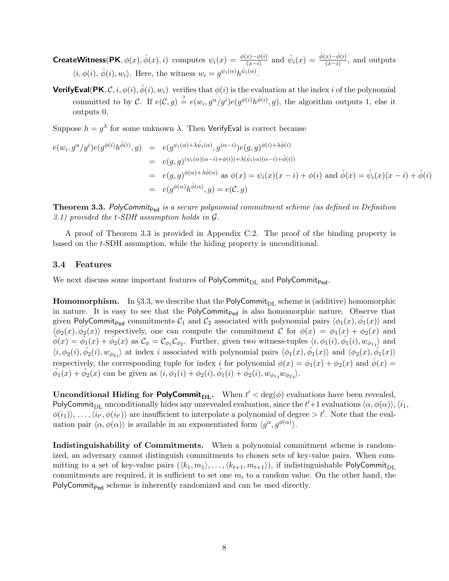**CreateWitness**(PK,  $\phi(x)$ ,  $\hat{\phi}(x)$ , i) computes  $\psi_i(x) = \frac{\phi(x) - \phi(i)}{(x-i)}$  and  $\hat{\psi}_i(x) = \frac{\hat{\phi}(x) - \hat{\phi}(i)}{(x-i)}$ , and outputs  $\langle i, \phi(i), \hat{\phi}(i), w_i \rangle$ . Here, the witness  $w_i = g^{\psi_i(\alpha)} h^{\hat{\psi}_i(\alpha)}$ .

**VerifyEval(PK, C, i,**  $\phi(i)$ **,**  $\hat{\phi}(i)$ **,**  $w_i$ **)** verifies that  $\phi(i)$  is the evaluation at the index i of the polynomial committed to by C. If  $e(C, g) \stackrel{?}{=} e(w_i, g^{\alpha}/g^i)e(g^{\phi(i)}h^{\hat{\phi}(i)}, g)$ , the algorithm outputs 1, else it outputs 0.

Suppose  $h = g^{\lambda}$  for some unknown  $\lambda$ . Then VerifyEval is correct because

$$
e(w_i, g^{\alpha}/g^i)e(g^{\phi(i)}h^{\hat{\phi}(i)}, g) = e(g^{\psi_i(\alpha) + \lambda \hat{\psi}_i(\alpha)}, g^{(\alpha - i)})e(g, g)^{\phi(i) + \lambda \hat{\phi}(i)}
$$
  
\n
$$
= e(g, g)^{(\psi_i(\alpha)(\alpha - i) + \phi(i)) + \lambda(\hat{\psi}_i(\alpha)(\alpha - i) + \hat{\phi}(i))}
$$
  
\n
$$
= e(g, g)^{\phi(\alpha) + \lambda \hat{\phi}(\alpha)} \text{ as } \phi(x) = \psi_i(x)(x - i) + \phi(i) \text{ and } \hat{\phi}(x) = \hat{\psi}_i(x)(x - i) + \hat{\phi}(i)
$$
  
\n
$$
= e(g^{\phi(\alpha)}h^{\hat{\phi}(\alpha)}, g) = e(\mathcal{C}, g)
$$

**Theorem 3.3.** PolyCommit<sub>Ped</sub> is a secure polynomial commitment scheme (as defined in Definition 3.1) provided the t-SDH assumption holds in G.

A proof of Theorem 3.3 is provided in Appendix C.2. The proof of the binding property is based on the t-SDH assumption, while the hiding property is unconditional.

#### 3.4 Features

We next discuss some important features of PolyCommit<sub>DL</sub> and PolyCommit<sub>Ped</sub>.

**Homomorphism.** In §3.3, we describe that the PolyCommit<sub>DL</sub> scheme is (additive) homomorphic in nature. It is easy to see that the PolyCommit<sub>Ped</sub> is also homomorphic nature. Observe that given PolyCommit<sub>Ped</sub> commitments  $C_1$  and  $C_2$  associated with polynomial pairs  $\langle \phi_1(x), \hat{\phi_1}(x) \rangle$  and  $\langle \phi_2(x), \hat{\phi_2}(x) \rangle$  respectively, one can compute the commitment C for  $\phi(x) = \phi_1(x) + \phi_2(x)$  and  $\hat{\phi}(x) = \hat{\phi}_1(x) + \hat{\phi}_2(x)$  as  $\mathcal{C}_{\phi} = \mathcal{C}_{\phi_1} \mathcal{C}_{\phi_2}$ . Further, given two witness-tuples  $\langle i, \phi_1(i), \hat{\phi}_1(i), w_{\phi_1 i} \rangle$  and  $\langle i, \phi_2(i), \hat{\phi_2}(i), w_{\phi_2} \rangle$  at index i associated with polynomial pairs  $\langle \phi_1(x), \hat{\phi_1}(x) \rangle$  and  $\langle \phi_2(x), \hat{\phi_1}(x) \rangle$ respectively, the corresponding tuple for index i for polynomial  $\phi(x) = \phi_1(x) + \phi_2(x)$  and  $\hat{\phi}(x) =$  $\hat{\phi_1}(x) + \hat{\phi_2}(x)$  can be given as  $\langle i, \phi_1(i) + \phi_2(i), \hat{\phi_1}(i) + \hat{\phi_2}(i), w_{\phi_1} \rangle$ .

**Unconditional Hiding for PolyCommit<sub>DL</sub>.** When  $t' < deg(\phi)$  evaluations have been revealed, PolyCommit<sub>DL</sub> unconditionally hides any unrevealed evaluation, since the  $t' + 1$  evaluations  $\langle \alpha, \phi(\alpha) \rangle$ ,  $\langle i_1,$  $\phi(i_1), \ldots, \langle i_{t'}, \phi(i_{t'})\rangle$  are insufficient to interpolate a polynomial of degree  $>t'$ . Note that the evaluation pair  $\langle \alpha, \phi(\alpha) \rangle$  is available in an exponentiated form  $\langle g^{\alpha}, g^{\phi(\alpha)} \rangle$ .

Indistinguishability of Commitments. When a polynomial commitment scheme is randomized, an adversary cannot distinguish commitments to chosen sets of key-value pairs. When committing to a set of key-value pairs  $(\langle k_1, m_1 \rangle, \ldots, \langle k_{t+1}, m_{t+1} \rangle)$ , if indistinguishable PolyCommit<sub>DL</sub> commitments are required, it is sufficient to set one  $m_i$  to a random value. On the other hand, the PolyCommit<sub>Ped</sub> scheme is inherently randomized and can be used directly.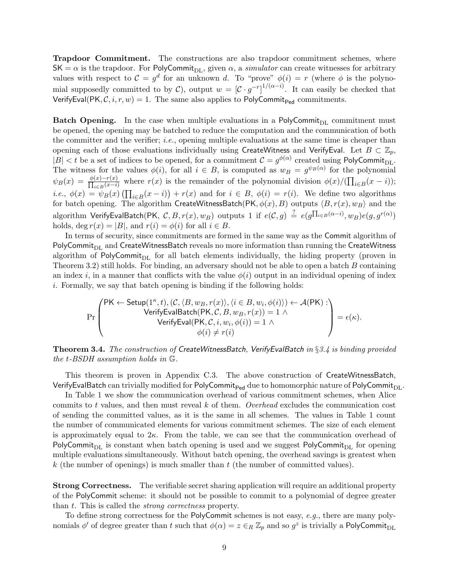Trapdoor Commitment. The constructions are also trapdoor commitment schemes, where  $SK = \alpha$  is the trapdoor. For PolyCommit<sub>DL</sub>, given  $\alpha$ , a simulator can create witnesses for arbitrary values with respect to  $\mathcal{C} = g^d$  for an unknown d. To "prove"  $\phi(i) = r$  (where  $\phi$  is the polynomial supposedly committed to by C), output  $w = [C \cdot g^{-r}]^{1/(\alpha - i)}$ . It can easily be checked that VerifyEval(PK,  $\mathcal{C}, i, r, w$ ) = 1. The same also applies to PolyCommit<sub>Ped</sub> commitments.

**Batch Opening.** In the case when multiple evaluations in a PolyCommit<sub>DL</sub> commitment must be opened, the opening may be batched to reduce the computation and the communication of both the committer and the verifier; i.e., opening multiple evaluations at the same time is cheaper than opening each of those evaluations individually using CreateWitness and VerifyEval. Let  $B \subset \mathbb{Z}_p$ ,  $|B| < t$  be a set of indices to be opened, for a commitment  $C = g^{\phi(\alpha)}$  created using PolyCommit<sub>DL</sub>. The witness for the values  $\phi(i)$ , for all  $i \in B$ , is computed as  $w_B = g^{\psi_B(\alpha)}$  for the polynomial  $\psi_B(x) = \frac{\phi(x) - r(x)}{\prod_{i \in B}(x - i)}$  where  $r(x)$  is the remainder of the polynomial division  $\phi(x)/(\prod_{i \in B}(x - i))$ ; *i.e.*,  $\phi(x) = \psi_B(x) \left( \prod_{i \in B} (x - i) \right) + r(x)$  and for  $i \in B$ ,  $\phi(i) = r(i)$ . We define two algorithms for batch opening. The algorithm <code>CreateWitnessBatch(PK</code>,  $\phi(x), B$ ) outputs  $\langle B, r(x), w_B \rangle$  and the algorithm  $\mathsf{VerifyEvalBatch}(\mathsf{PK},\; \mathcal{C}, B, r(x),w_B) \text{ outputs 1 if } e(\mathcal{C},g) \; \stackrel{?}{=} \; e(g^{\prod_{i\in B}(\alpha-i)},w_B)e(g,g^{r(\alpha)})$ holds, deg  $r(x) = |B|$ , and  $r(i) = \phi(i)$  for all  $i \in B$ .

In terms of security, since commitments are formed in the same way as the Commit algorithm of PolyCommit<sub>DL</sub> and CreateWitnessBatch reveals no more information than running the CreateWitness algorithm of PolyCommit<sub>DL</sub> for all batch elements individually, the hiding property (proven in Theorem 3.2) still holds. For binding, an adversary should not be able to open a batch  $B$  containing an index i, in a manner that conflicts with the value  $\phi(i)$  output in an individual opening of index i. Formally, we say that batch opening is binding if the following holds:

$$
\Pr\left(\begin{matrix} \mathsf{PK} \leftarrow \mathsf{Setup}(1^\kappa,t), (\mathcal{C},\langle B,w_B,r(x)\rangle,\langle i\in B,w_i,\phi(i)\rangle\rangle \leftarrow \mathcal{A}(\mathsf{PK}): \\ \mathsf{VerifyEvalBatch}(\mathsf{PK},\mathcal{C},B,w_B,r(x))=1 \wedge \\ \mathsf{VerifyEval}(\mathsf{PK},\mathcal{C},i,w_i,\phi(i))=1 \wedge \\ \phi(i)\neq r(i) \end{matrix}\right)=\epsilon(\kappa).
$$

**Theorem 3.4.** The construction of CreateWitnessBatch, VerifyEvalBatch in §3.4 is binding provided the t-BSDH assumption holds in G.

This theorem is proven in Appendix C.3. The above construction of CreateWitnessBatch, VerifyEvalBatch can trivially modified for PolyCommit<sub>Ped</sub> due to homomorphic nature of PolyCommit<sub>DL</sub>.

In Table 1 we show the communication overhead of various commitment schemes, when Alice commits to t values, and then must reveal  $k$  of them. Overhead excludes the communication cost of sending the committed values, as it is the same in all schemes. The values in Table 1 count the number of communicated elements for various commitment schemes. The size of each element is approximately equal to  $2\kappa$ . From the table, we can see that the communication overhead of PolyCommit<sub>DL</sub> is constant when batch opening is used and we suggest PolyCommit<sub>DL</sub> for opening multiple evaluations simultaneously. Without batch opening, the overhead savings is greatest when k (the number of openings) is much smaller than  $t$  (the number of committed values).

Strong Correctness. The verifiable secret sharing application will require an additional property of the PolyCommit scheme: it should not be possible to commit to a polynomial of degree greater than t. This is called the strong correctness property.

To define strong correctness for the PolyCommit schemes is not easy, e.g., there are many polynomials  $\phi'$  of degree greater than t such that  $\phi(\alpha)=z\in_R\mathbb{Z}_p$  and so  $g^z$  is trivially a PolyCommit<sub>DL</sub>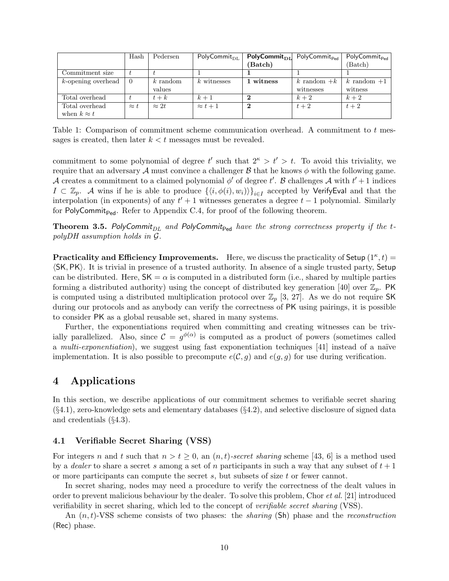|                    | Hash        | Pedersen     | $PolyCommit_{DL}$ | $PolyCommit_{DL}$ | PolyCommit <sub>Ped</sub> | PolyCommit <sub>Ped</sub> |
|--------------------|-------------|--------------|-------------------|-------------------|---------------------------|---------------------------|
|                    |             |              |                   | (Batch)           |                           | (Batch)                   |
| Commitment size.   |             |              |                   |                   |                           |                           |
| k-opening overhead | - 0         | $k$ random   | $k$ witnesses     | 1 witness         | k random $+k$             | k random $+1$             |
|                    |             | values       |                   |                   | witnesses                 | witness                   |
| Total overhead     |             | $t+k$        | $k+1$             |                   | $k+2$                     | $k+2$                     |
| Total overhead     | $\approx t$ | $\approx 2t$ | $\approx t+1$     |                   | $t+2$                     | $t+2$                     |
| when $k \approx t$ |             |              |                   |                   |                           |                           |

Table 1: Comparison of commitment scheme communication overhead. A commitment to t messages is created, then later  $k < t$  messages must be revealed.

commitment to some polynomial of degree  $t'$  such that  $2^k > t' > t$ . To avoid this triviality, we require that an adversary A must convince a challenger B that he knows  $\phi$  with the following game. A creates a commitment to a claimed polynomial  $\phi'$  of degree t'. B challenges A with  $t' + 1$  indices  $I \subset \mathbb{Z}_p$ . A wins if he is able to produce  $\{\langle i, \phi(i), w_i \rangle\}_{i \in I}$  accepted by VerifyEval and that the interpolation (in exponents) of any  $t' + 1$  witnesses generates a degree  $t - 1$  polynomial. Similarly for PolyCommit<sub>Ped</sub>. Refer to Appendix C.4, for proof of the following theorem.

**Theorem 3.5.** PolyCommit<sub>DL</sub> and PolyCommit<sub>Ped</sub> have the strong correctness property if the tpolyDH assumption holds in G.

**Practicality and Efficiency Improvements.** Here, we discuss the practicality of Setup  $(1^{\kappa}, t)$  =  $\langle SK, PK \rangle$ . It is trivial in presence of a trusted authority. In absence of a single trusted party, Setup can be distributed. Here,  $SK = \alpha$  is computed in a distributed form (i.e., shared by multiple parties forming a distributed authority) using the concept of distributed key generation [40] over  $\mathbb{Z}_p$ . PK is computed using a distributed multiplication protocol over  $\mathbb{Z}_p$  [3, 27]. As we do not require SK during our protocols and as anybody can verify the correctness of PK using pairings, it is possible to consider PK as a global reusable set, shared in many systems.

Further, the exponentiations required when committing and creating witnesses can be trivially parallelized. Also, since  $\mathcal{C} = g^{\phi(\alpha)}$  is computed as a product of powers (sometimes called a multi-exponentiation), we suggest using fast exponentiation techniques  $[41]$  instead of a naïve implementation. It is also possible to precompute  $e(C, g)$  and  $e(g, g)$  for use during verification.

### 4 Applications

In this section, we describe applications of our commitment schemes to verifiable secret sharing  $(\S4.1)$ , zero-knowledge sets and elementary databases  $(\S4.2)$ , and selective disclosure of signed data and credentials (§4.3).

#### 4.1 Verifiable Secret Sharing (VSS)

For integers n and t such that  $n > t \geq 0$ , an  $(n, t)$ -secret sharing scheme [43, 6] is a method used by a *dealer* to share a secret s among a set of n participants in such a way that any subset of  $t + 1$ or more participants can compute the secret s, but subsets of size t or fewer cannot.

In secret sharing, nodes may need a procedure to verify the correctness of the dealt values in order to prevent malicious behaviour by the dealer. To solve this problem, Chor et al. [21] introduced verifiability in secret sharing, which led to the concept of verifiable secret sharing (VSS).

An  $(n, t)$ -VSS scheme consists of two phases: the *sharing* (Sh) phase and the *reconstruction* (Rec) phase.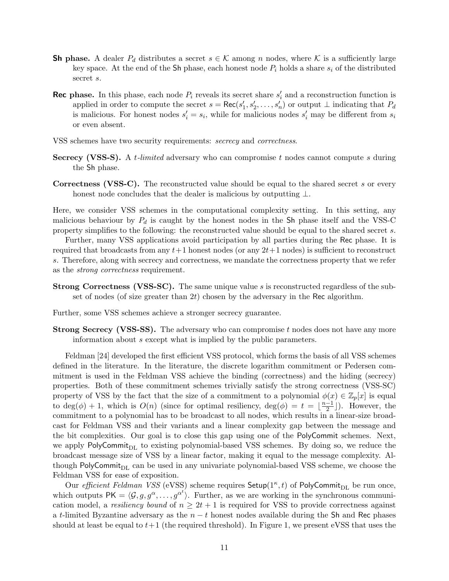- **Sh phase.** A dealer  $P_d$  distributes a secret  $s \in \mathcal{K}$  among n nodes, where K is a sufficiently large key space. At the end of the Sh phase, each honest node  $P_i$  holds a share  $s_i$  of the distributed secret s.
- **Rec phase.** In this phase, each node  $P_i$  reveals its secret share  $s'_i$  and a reconstruction function is applied in order to compute the secret  $s = \text{Rec}(s'_1, s'_2, \dots, s'_n)$  or output  $\perp$  indicating that  $P_d$ is malicious. For honest nodes  $s_i' = s_i$ , while for malicious nodes  $s_i'$  may be different from  $s_i$ or even absent.
- VSS schemes have two security requirements: secrecy and correctness.
- Secrecy (VSS-S). A *t-limited* adversary who can compromise t nodes cannot compute s during the Sh phase.
- Correctness (VSS-C). The reconstructed value should be equal to the shared secret s or every honest node concludes that the dealer is malicious by outputting  $\bot$ .

Here, we consider VSS schemes in the computational complexity setting. In this setting, any malicious behaviour by  $P_d$  is caught by the honest nodes in the Sh phase itself and the VSS-C property simplifies to the following: the reconstructed value should be equal to the shared secret s.

Further, many VSS applications avoid participation by all parties during the Rec phase. It is required that broadcasts from any  $t+1$  honest nodes (or any  $2t+1$  nodes) is sufficient to reconstruct s. Therefore, along with secrecy and correctness, we mandate the correctness property that we refer as the strong correctness requirement.

Strong Correctness (VSS-SC). The same unique value s is reconstructed regardless of the subset of nodes (of size greater than  $2t$ ) chosen by the adversary in the Rec algorithm.

Further, some VSS schemes achieve a stronger secrecy guarantee.

Strong Secrecy (VSS-SS). The adversary who can compromise t nodes does not have any more information about s except what is implied by the public parameters.

Feldman [24] developed the first efficient VSS protocol, which forms the basis of all VSS schemes defined in the literature. In the literature, the discrete logarithm commitment or Pedersen commitment is used in the Feldman VSS achieve the binding (correctness) and the hiding (secrecy) properties. Both of these commitment schemes trivially satisfy the strong correctness (VSS-SC) property of VSS by the fact that the size of a commitment to a polynomial  $\phi(x) \in \mathbb{Z}_p[x]$  is equal to deg( $\phi$ ) + 1, which is  $O(n)$  (since for optimal resiliency, deg( $\phi$ ) =  $t = \frac{n-1}{2}$  $\frac{-1}{2}$ ]). However, the commitment to a polynomial has to be broadcast to all nodes, which results in a linear-size broadcast for Feldman VSS and their variants and a linear complexity gap between the message and the bit complexities. Our goal is to close this gap using one of the PolyCommit schemes. Next, we apply PolyCommit $_{\text{DL}}$  to existing polynomial-based VSS schemes. By doing so, we reduce the broadcast message size of VSS by a linear factor, making it equal to the message complexity. Although PolyCommit<sub>DL</sub> can be used in any univariate polynomial-based VSS scheme, we choose the Feldman VSS for ease of exposition.

Our *efficient Feldman VSS* (eVSS) scheme requires  $\mathsf{Setup}(1^{\kappa},t)$  of  $\mathsf{PolyCommit}_{\text{DL}}$  be run once, which outputs  $PK = \langle \mathcal{G}, g, g^{\alpha}, \ldots, g^{\alpha^{t}} \rangle$ . Further, as we are working in the synchronous communication model, a resiliency bound of  $n \geq 2t + 1$  is required for VSS to provide correctness against a t-limited Byzantine adversary as the  $n - t$  honest nodes available during the Sh and Rec phases should at least be equal to  $t+1$  (the required threshold). In Figure 1, we present eVSS that uses the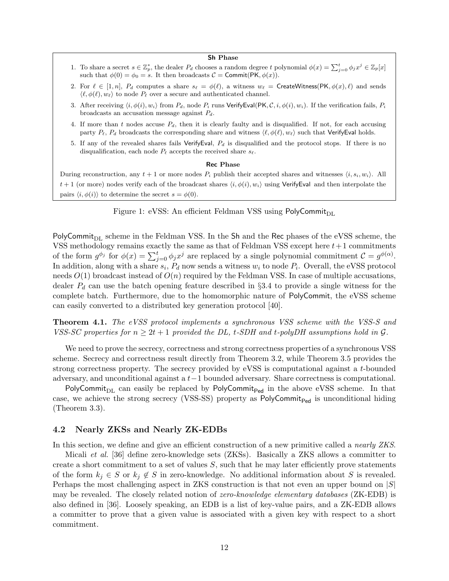#### Sh Phase

- 1. To share a secret  $s \in \mathbb{Z}_p^*$ , the dealer  $P_d$  chooses a random degree t polynomial  $\phi(x) = \sum_{j=0}^t \phi_j x^j \in \mathbb{Z}_p[x]$ such that  $\phi(0) = \phi_0 = s$ . It then broadcasts  $\mathcal{C} = \text{Commit}(\text{PK}, \phi(x))$ .
- 2. For  $\ell \in [1, n], P_d$  computes a share  $s_\ell = \phi(\ell)$ , a witness  $w_\ell = \text{CreateWitness}(PK, \phi(x), \ell)$  and sends  $\langle \ell, \phi(\ell), w_{\ell} \rangle$  to node  $P_{\ell}$  over a secure and authenticated channel.
- 3. After receiving  $\langle i, \phi(i), w_i \rangle$  from  $P_d$ , node  $P_i$  runs VerifyEval(PK, C, i,  $\phi(i), w_i$ ). If the verification fails,  $P_i$ broadcasts an accusation message against  $P_d$ .
- 4. If more than t nodes accuse  $P_d$ , then it is clearly faulty and is disqualified. If not, for each accusing party  $P_\ell$ ,  $P_d$  broadcasts the corresponding share and witness  $\langle \ell, \phi(\ell), w_\ell \rangle$  such that VerifyEval holds.
- 5. If any of the revealed shares fails VerifyEval,  $P_d$  is disqualified and the protocol stops. If there is no disqualification, each node  $P_\ell$  accepts the received share  $s_\ell$ .

#### Rec Phase

During reconstruction, any  $t + 1$  or more nodes  $P_i$  publish their accepted shares and witnesses  $\langle i, s_i, w_i \rangle$ . All  $t + 1$  (or more) nodes verify each of the broadcast shares  $\langle i, \phi(i), w_i \rangle$  using VerifyEval and then interpolate the pairs  $\langle i, \phi(i) \rangle$  to determine the secret  $s = \phi(0)$ .



PolyCommit<sub>DL</sub> scheme in the Feldman VSS. In the Sh and the Rec phases of the eVSS scheme, the VSS methodology remains exactly the same as that of Feldman VSS except here  $t+1$  commitments of the form  $g^{\phi_j}$  for  $\phi(x) = \sum_{j=0}^t \phi_j x^j$  are replaced by a single polynomial commitment  $\mathcal{C} = g^{\phi(\alpha)}$ . In addition, along with a share  $s_i$ ,  $P_d$  now sends a witness  $w_i$  to node  $P_i$ . Overall, the eVSS protocol needs  $O(1)$  broadcast instead of  $O(n)$  required by the Feldman VSS. In case of multiple accusations, dealer  $P_d$  can use the batch opening feature described in §3.4 to provide a single witness for the complete batch. Furthermore, due to the homomorphic nature of PolyCommit, the eVSS scheme can easily converted to a distributed key generation protocol [40].

Theorem 4.1. The eVSS protocol implements a synchronous VSS scheme with the VSS-S and VSS-SC properties for  $n \geq 2t + 1$  provided the DL, t-SDH and t-polyDH assumptions hold in G.

We need to prove the secrecy, correctness and strong correctness properties of a synchronous VSS scheme. Secrecy and correctness result directly from Theorem 3.2, while Theorem 3.5 provides the strong correctness property. The secrecy provided by eVSS is computational against a t-bounded adversary, and unconditional against a t−1 bounded adversary. Share correctness is computational.

PolyCommit<sub>DL</sub> can easily be replaced by PolyCommit<sub>Ped</sub> in the above eVSS scheme. In that case, we achieve the strong secrecy (VSS-SS) property as PolyCommit<sub>Ped</sub> is unconditional hiding (Theorem 3.3).

#### 4.2 Nearly ZKSs and Nearly ZK-EDBs

In this section, we define and give an efficient construction of a new primitive called a *nearly ZKS*.

Micali et al. [36] define zero-knowledge sets (ZKSs). Basically a ZKS allows a committer to create a short commitment to a set of values  $S$ , such that he may later efficiently prove statements of the form  $k_j \in S$  or  $k_j \notin S$  in zero-knowledge. No additional information about S is revealed. Perhaps the most challenging aspect in ZKS construction is that not even an upper bound on  $|S|$ may be revealed. The closely related notion of *zero-knowledge elementary databases* (ZK-EDB) is also defined in [36]. Loosely speaking, an EDB is a list of key-value pairs, and a ZK-EDB allows a committer to prove that a given value is associated with a given key with respect to a short commitment.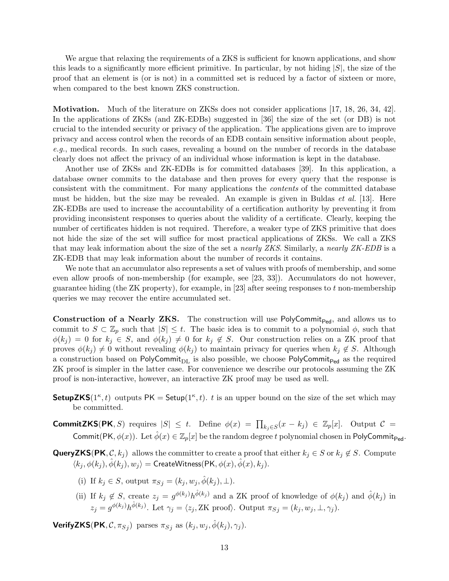We argue that relaxing the requirements of a ZKS is sufficient for known applications, and show this leads to a significantly more efficient primitive. In particular, by not hiding  $|S|$ , the size of the proof that an element is (or is not) in a committed set is reduced by a factor of sixteen or more, when compared to the best known ZKS construction.

Motivation. Much of the literature on ZKSs does not consider applications [17, 18, 26, 34, 42]. In the applications of ZKSs (and ZK-EDBs) suggested in [36] the size of the set (or DB) is not crucial to the intended security or privacy of the application. The applications given are to improve privacy and access control when the records of an EDB contain sensitive information about people, e.g., medical records. In such cases, revealing a bound on the number of records in the database clearly does not affect the privacy of an individual whose information is kept in the database.

Another use of ZKSs and ZK-EDBs is for committed databases [39]. In this application, a database owner commits to the database and then proves for every query that the response is consistent with the commitment. For many applications the contents of the committed database must be hidden, but the size may be revealed. An example is given in Buldas *et al.* [13]. Here ZK-EDBs are used to increase the accountability of a certification authority by preventing it from providing inconsistent responses to queries about the validity of a certificate. Clearly, keeping the number of certificates hidden is not required. Therefore, a weaker type of ZKS primitive that does not hide the size of the set will suffice for most practical applications of ZKSs. We call a ZKS that may leak information about the size of the set a nearly ZKS. Similarly, a nearly ZK-EDB is a ZK-EDB that may leak information about the number of records it contains.

We note that an accumulator also represents a set of values with proofs of membership, and some even allow proofs of non-membership (for example, see [23, 33]). Accumulators do not however, guarantee hiding (the ZK property), for example, in [23] after seeing responses to t non-membership queries we may recover the entire accumulated set.

**Construction of a Nearly ZKS.** The construction will use PolyCommit<sub>Ped</sub>, and allows us to commit to  $S \subset \mathbb{Z}_p$  such that  $|S| \leq t$ . The basic idea is to commit to a polynomial  $\phi$ , such that  $\phi(k_i) = 0$  for  $k_i \in S$ , and  $\phi(k_i) \neq 0$  for  $k_i \notin S$ . Our construction relies on a ZK proof that proves  $\phi(k_j) \neq 0$  without revealing  $\phi(k_j)$  to maintain privacy for queries when  $k_j \notin S$ . Although a construction based on  $PolyCommit_{DL}$  is also possible, we choose  $PolyCommit_{Ped}$  as the required ZK proof is simpler in the latter case. For convenience we describe our protocols assuming the ZK proof is non-interactive, however, an interactive ZK proof may be used as well.

- **SetupZKS**(1<sup> $\kappa$ </sup>, t) outputs PK = Setup(1<sup> $\kappa$ </sup>, t). t is an upper bound on the size of the set which may be committed.
- **CommitZKS(PK**, S) requires  $|S| \leq t$ . Define  $\phi(x) = \prod_{k_j \in S} (x k_j) \in \mathbb{Z}_p[x]$ . Output  $C =$ Commit(PK,  $\phi(x)$ ). Let  $\hat{\phi}(x) \in \mathbb{Z}_p[x]$  be the random degree t polynomial chosen in PolyCommit<sub>Ped</sub>.
- **QueryZKS(PK, C, k**<sub>j</sub>) allows the committer to create a proof that either  $k_j \in S$  or  $k_j \notin S$ . Compute  $\langle k_i, \phi(k_i), \hat{\phi}(k_i), w_j \rangle = \textsf{CreateWitness}(\textsf{PK}, \phi(x), \hat{\phi}(x), k_j).$ 
	- (i) If  $k_j \in S$ , output  $\pi_{S_j} = (k_j, w_j, \hat{\phi}(k_j), \perp)$ .
	- (ii) If  $k_j \notin S$ , create  $z_j = g^{\phi(k_j)} h^{\hat{\phi}(k_j)}$  and a ZK proof of knowledge of  $\phi(k_j)$  and  $\hat{\phi}(k_j)$  in  $z_j = g^{\phi(k_j)} h^{\hat{\phi}(k_j)}$ . Let  $\gamma_j = \langle z_j, ZK \text{ proof} \rangle$ . Output  $\pi_{S_j} = (k_j, w_j, \perp, \gamma_j)$ .

**VerifyZKS**(PK,  $C, \pi_{Sj}$ ) parses  $\pi_{Sj}$  as  $(k_j, w_j, \hat{\phi}(k_j), \gamma_j)$ .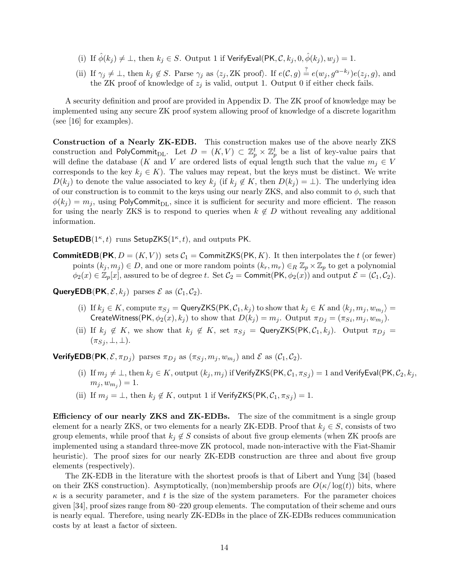- (i) If  $\hat{\phi}(k_j) \neq \bot$ , then  $k_j \in S$ . Output 1 if VerifyEval(PK,  $\mathcal{C}, k_j, 0, \hat{\phi}(k_j), w_j = 1$ .
- (ii) If  $\gamma_j \neq \bot$ , then  $k_j \notin S$ . Parse  $\gamma_j$  as  $\langle z_j, ZK \text{ proof} \rangle$ . If  $e(C, g) \stackrel{?}{=} e(w_j, g^{\alpha-k_j})e(z_j, g)$ , and the ZK proof of knowledge of  $z_i$  is valid, output 1. Output 0 if either check fails.

A security definition and proof are provided in Appendix D. The ZK proof of knowledge may be implemented using any secure ZK proof system allowing proof of knowledge of a discrete logarithm (see [16] for examples).

Construction of a Nearly ZK-EDB. This construction makes use of the above nearly ZKS construction and PolyCommit<sub>DL</sub>. Let  $D = (K, V) \subset \mathbb{Z}_p^t \times \mathbb{Z}_p^t$  be a list of key-value pairs that will define the database (K and V are ordered lists of equal length such that the value  $m_j \in V$ corresponds to the key  $k_j \in K$ ). The values may repeat, but the keys must be distinct. We write  $D(k_i)$  to denote the value associated to key  $k_j$  (if  $k_j \notin K$ , then  $D(k_j) = \perp$ ). The underlying idea of our construction is to commit to the keys using our nearly ZKS, and also commit to  $\phi$ , such that  $\phi(k_i) = m_i$ , using PolyCommit<sub>DL</sub>, since it is sufficient for security and more efficient. The reason for using the nearly ZKS is to respond to queries when  $k \notin D$  without revealing any additional information.

SetupEDB( $1^{\kappa}, t$ ) runs SetupZKS( $1^{\kappa}, t$ ), and outputs PK.

**CommitEDB(PK,**  $D = (K, V)$ ) sets  $C_1$  = CommitZKS(PK, K). It then interpolates the t (or fewer) points  $(k_j, m_j) \in D$ , and one or more random points  $(k_r, m_r) \in_R \mathbb{Z}_p \times \mathbb{Z}_p$  to get a polynomial  $\phi_2(x) \in \mathbb{Z}_p[x]$ , assured to be of degree t. Set  $\mathcal{C}_2 = \text{Commit}(\text{PK}, \phi_2(x))$  and output  $\mathcal{E} = (\mathcal{C}_1, \mathcal{C}_2)$ .

**QueryEDB(PK,**  $\mathcal{E}, k_i$ ) parses  $\mathcal{E}$  as  $(\mathcal{C}_1, \mathcal{C}_2)$ .

- (i) If  $k_j \in K$ , compute  $\pi_{S_j} = \mathsf{QueryZKS}(\mathsf{PK}, \mathcal{C}_1, k_j)$  to show that  $k_j \in K$  and  $\langle k_j, m_j, w_{m_j} \rangle =$ CreateWitness(PK,  $\phi_2(x), k_j$ ) to show that  $D(k_j) = m_j$ . Output  $\pi_{D_j} = (\pi_{S_i}, m_j, w_{m_j})$ .
- (ii) If  $k_j \notin K$ , we show that  $k_j \notin K$ , set  $\pi_{S_j} = \mathsf{QueryZKS}(\mathsf{PK}, \mathcal{C}_1, k_j)$ . Output  $\pi_{D_j} =$  $(\pi_{S_j}, \perp, \perp).$

**VerifyEDB**(PK,  $\mathcal{E}, \pi_{D_j}$ ) parses  $\pi_{D_j}$  as  $(\pi_{S_j}, m_j, w_{m_j})$  and  $\mathcal{E}$  as  $(\mathcal{C}_1, \mathcal{C}_2)$ .

- (i) If  $m_j \neq \bot$ , then  $k_j \in K$ , output  $(k_j, m_j)$  if VerifyZKS(PK,  $\mathcal{C}_1, \pi_{Sj}$ ) = 1 and VerifyEval(PK,  $\mathcal{C}_2, k_j$ ,  $(m_j, w_{m_j}) = 1.$
- (ii) If  $m_j = \perp$ , then  $k_j \notin K$ , output 1 if  $VerifyZKS(PK, \mathcal{C}_1, \pi_{Sj}) = 1$ .

Efficiency of our nearly ZKS and ZK-EDBs. The size of the commitment is a single group element for a nearly ZKS, or two elements for a nearly ZK-EDB. Proof that  $k_j \in S$ , consists of two group elements, while proof that  $k_j \notin S$  consists of about five group elements (when ZK proofs are implemented using a standard three-move ZK protocol, made non-interactive with the Fiat-Shamir heuristic). The proof sizes for our nearly ZK-EDB construction are three and about five group elements (respectively).

The ZK-EDB in the literature with the shortest proofs is that of Libert and Yung [34] (based on their ZKS construction). Asymptotically, (non)membership proofs are  $O(\kappa/\log(t))$  bits, where  $\kappa$  is a security parameter, and t is the size of the system parameters. For the parameter choices given [34], proof sizes range from 80–220 group elements. The computation of their scheme and ours is nearly equal. Therefore, using nearly ZK-EDBs in the place of ZK-EDBs reduces communication costs by at least a factor of sixteen.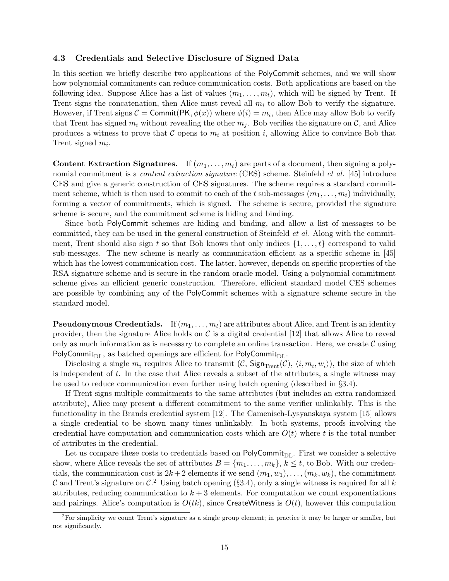### 4.3 Credentials and Selective Disclosure of Signed Data

In this section we briefly describe two applications of the PolyCommit schemes, and we will show how polynomial commitments can reduce communication costs. Both applications are based on the following idea. Suppose Alice has a list of values  $(m_1, \ldots, m_t)$ , which will be signed by Trent. If Trent signs the concatenation, then Alice must reveal all  $m_i$  to allow Bob to verify the signature. However, if Trent signs  $C = \textsf{Commit}(\textsf{PK},\phi(x))$  where  $\phi(i) = m_i$ , then Alice may allow Bob to verify that Trent has signed  $m_i$  without revealing the other  $m_j$ . Bob verifies the signature on  $\mathcal{C}$ , and Alice produces a witness to prove that C opens to  $m_i$  at position i, allowing Alice to convince Bob that Trent signed  $m_i$ .

**Content Extraction Signatures.** If  $(m_1, \ldots, m_t)$  are parts of a document, then signing a polynomial commitment is a *content extraction signature* (CES) scheme. Steinfeld *et al.* [45] introduce CES and give a generic construction of CES signatures. The scheme requires a standard commitment scheme, which is then used to commit to each of the t sub-messages  $(m_1, \ldots, m_t)$  individually, forming a vector of commitments, which is signed. The scheme is secure, provided the signature scheme is secure, and the commitment scheme is hiding and binding.

Since both PolyCommit schemes are hiding and binding, and allow a list of messages to be committed, they can be used in the general construction of Steinfeld et al. Along with the commitment, Trent should also sign t so that Bob knows that only indices  $\{1, \ldots, t\}$  correspond to valid sub-messages. The new scheme is nearly as communication efficient as a specific scheme in [45] which has the lowest communication cost. The latter, however, depends on specific properties of the RSA signature scheme and is secure in the random oracle model. Using a polynomial commitment scheme gives an efficient generic construction. Therefore, efficient standard model CES schemes are possible by combining any of the PolyCommit schemes with a signature scheme secure in the standard model.

**Pseudonymous Credentials.** If  $(m_1, \ldots, m_t)$  are attributes about Alice, and Trent is an identity provider, then the signature Alice holds on  $\mathcal C$  is a digital credential [12] that allows Alice to reveal only as much information as is necessary to complete an online transaction. Here, we create  $\mathcal C$  using PolyCommit<sub>DL</sub>, as batched openings are efficient for PolyCommit<sub>DL</sub>.

Disclosing a single  $m_i$  requires Alice to transmit  $(C,$  Sign<sub>Trent</sub> $(C), \langle i, m_i, w_i \rangle)$ , the size of which is independent of  $t$ . In the case that Alice reveals a subset of the attributes, a single witness may be used to reduce communication even further using batch opening (described in §3.4).

If Trent signs multiple commitments to the same attributes (but includes an extra randomized attribute), Alice may present a different commitment to the same verifier unlinkably. This is the functionality in the Brands credential system [12]. The Camenisch-Lysyanskaya system [15] allows a single credential to be shown many times unlinkably. In both systems, proofs involving the credential have computation and communication costs which are  $O(t)$  where t is the total number of attributes in the credential.

Let us compare these costs to credentials based on  $PolyCommit_{DL}$ . First we consider a selective show, where Alice reveals the set of attributes  $B = \{m_1, \ldots, m_k\}, k \leq t$ , to Bob. With our credentials, the communication cost is  $2k+2$  elements if we send  $(m_1, w_1), \ldots, (m_k, w_k)$ , the commitment C and Trent's signature on C.<sup>2</sup> Using batch opening (§3.4), only a single witness is required for all k attributes, reducing communication to  $k + 3$  elements. For computation we count exponentiations and pairings. Alice's computation is  $O(tk)$ , since CreateWitness is  $O(t)$ , however this computation

 ${}^{2}$ For simplicity we count Trent's signature as a single group element; in practice it may be larger or smaller, but not significantly.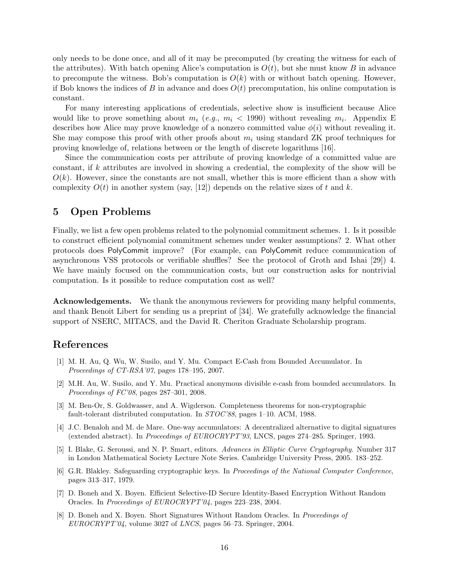only needs to be done once, and all of it may be precomputed (by creating the witness for each of the attributes). With batch opening Alice's computation is  $O(t)$ , but she must know B in advance to precompute the witness. Bob's computation is  $O(k)$  with or without batch opening. However, if Bob knows the indices of B in advance and does  $O(t)$  precomputation, his online computation is constant.

For many interesting applications of credentials, selective show is insufficient because Alice would like to prove something about  $m_i$  (*e.g.*,  $m_i$  < 1990) without revealing  $m_i$ . Appendix E describes how Alice may prove knowledge of a nonzero committed value  $\phi(i)$  without revealing it. She may compose this proof with other proofs about  $m_i$  using standard ZK proof techniques for proving knowledge of, relations between or the length of discrete logarithms [16].

Since the communication costs per attribute of proving knowledge of a committed value are constant, if k attributes are involved in showing a credential, the complexity of the show will be  $O(k)$ . However, since the constants are not small, whether this is more efficient than a show with complexity  $O(t)$  in another system (say, [12]) depends on the relative sizes of t and k.

### 5 Open Problems

Finally, we list a few open problems related to the polynomial commitment schemes. 1. Is it possible to construct efficient polynomial commitment schemes under weaker assumptions? 2. What other protocols does PolyCommit improve? (For example, can PolyCommit reduce communication of asynchronous VSS protocols or verifiable shuffles? See the protocol of Groth and Ishai [29]) 4. We have mainly focused on the communication costs, but our construction asks for nontrivial computation. Is it possible to reduce computation cost as well?

Acknowledgements. We thank the anonymous reviewers for providing many helpful comments, and thank Benoit Libert for sending us a preprint of [34]. We gratefully acknowledge the financial support of NSERC, MITACS, and the David R. Cheriton Graduate Scholarship program.

## References

- [1] M. H. Au, Q. Wu, W. Susilo, and Y. Mu. Compact E-Cash from Bounded Accumulator. In Proceedings of CT-RSA'07, pages 178–195, 2007.
- [2] M.H. Au, W. Susilo, and Y. Mu. Practical anonymous divisible e-cash from bounded accumulators. In Proceedings of FC'08, pages 287–301, 2008.
- [3] M. Ben-Or, S. Goldwasser, and A. Wigderson. Completeness theorems for non-cryptographic fault-tolerant distributed computation. In STOC'88, pages 1–10. ACM, 1988.
- [4] J.C. Benaloh and M. de Mare. One-way accumulators: A decentralized alternative to digital signatures (extended abstract). In Proceedings of EUROCRYPT'93, LNCS, pages 274–285. Springer, 1993.
- [5] I. Blake, G. Seroussi, and N. P. Smart, editors. Advances in Elliptic Curve Cryptography. Number 317 in London Mathematical Society Lecture Note Series. Cambridge University Press, 2005. 183–252.
- [6] G.R. Blakley. Safeguarding cryptographic keys. In Proceedings of the National Computer Conference, pages 313–317, 1979.
- [7] D. Boneh and X. Boyen. Efficient Selective-ID Secure Identity-Based Encryption Without Random Oracles. In Proceedings of EUROCRYPT'04, pages 223–238, 2004.
- [8] D. Boneh and X. Boyen. Short Signatures Without Random Oracles. In Proceedings of EUROCRYPT'04, volume 3027 of LNCS, pages 56–73. Springer, 2004.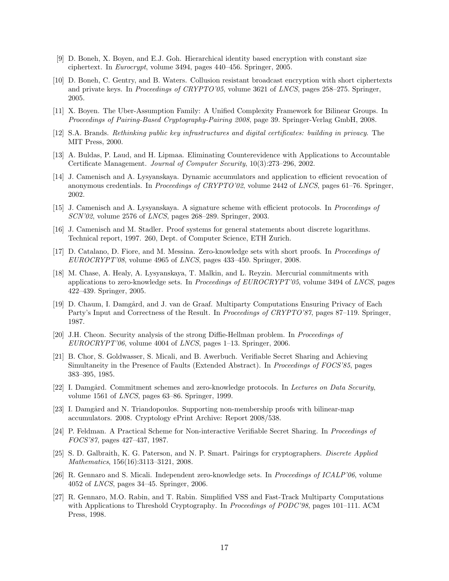- [9] D. Boneh, X. Boyen, and E.J. Goh. Hierarchical identity based encryption with constant size ciphertext. In Eurocrypt, volume 3494, pages 440–456. Springer, 2005.
- [10] D. Boneh, C. Gentry, and B. Waters. Collusion resistant broadcast encryption with short ciphertexts and private keys. In Proceedings of CRYPTO'05, volume 3621 of LNCS, pages 258–275. Springer, 2005.
- [11] X. Boyen. The Uber-Assumption Family: A Unified Complexity Framework for Bilinear Groups. In Proceedings of Pairing-Based Cryptography-Pairing 2008, page 39. Springer-Verlag GmbH, 2008.
- [12] S.A. Brands. Rethinking public key infrastructures and digital certificates: building in privacy. The MIT Press, 2000.
- [13] A. Buldas, P. Laud, and H. Lipmaa. Eliminating Counterevidence with Applications to Accountable Certificate Management. Journal of Computer Security, 10(3):273–296, 2002.
- [14] J. Camenisch and A. Lysyanskaya. Dynamic accumulators and application to efficient revocation of anonymous credentials. In *Proceedings of CRYPTO'02*, volume 2442 of *LNCS*, pages 61–76. Springer, 2002.
- [15] J. Camenisch and A. Lysyanskaya. A signature scheme with efficient protocols. In Proceedings of SCN'02, volume 2576 of LNCS, pages 268–289. Springer, 2003.
- [16] J. Camenisch and M. Stadler. Proof systems for general statements about discrete logarithms. Technical report, 1997. 260, Dept. of Computer Science, ETH Zurich.
- [17] D. Catalano, D. Fiore, and M. Messina. Zero-knowledge sets with short proofs. In *Proceedings of* EUROCRYPT'08, volume 4965 of LNCS, pages 433–450. Springer, 2008.
- [18] M. Chase, A. Healy, A. Lysyanskaya, T. Malkin, and L. Reyzin. Mercurial commitments with applications to zero-knowledge sets. In Proceedings of EUROCRYPT'05, volume 3494 of LNCS, pages 422–439. Springer, 2005.
- [19] D. Chaum, I. Damgård, and J. van de Graaf. Multiparty Computations Ensuring Privacy of Each Party's Input and Correctness of the Result. In *Proceedings of CRYPTO'87*, pages 87–119. Springer, 1987.
- [20] J.H. Cheon. Security analysis of the strong Diffie-Hellman problem. In Proceedings of EUROCRYPT'06, volume 4004 of LNCS, pages 1–13. Springer, 2006.
- [21] B. Chor, S. Goldwasser, S. Micali, and B. Awerbuch. Verifiable Secret Sharing and Achieving Simultaneity in the Presence of Faults (Extended Abstract). In Proceedings of FOCS'85, pages 383–395, 1985.
- [22] I. Damgård. Commitment schemes and zero-knowledge protocols. In Lectures on Data Security, volume 1561 of LNCS, pages 63–86. Springer, 1999.
- [23] I. Damgård and N. Triandopoulos. Supporting non-membership proofs with bilinear-map accumulators. 2008. Cryptology ePrint Archive: Report 2008/538.
- [24] P. Feldman. A Practical Scheme for Non-interactive Verifiable Secret Sharing. In Proceedings of FOCS'87, pages 427–437, 1987.
- [25] S. D. Galbraith, K. G. Paterson, and N. P. Smart. Pairings for cryptographers. Discrete Applied Mathematics, 156(16):3113–3121, 2008.
- [26] R. Gennaro and S. Micali. Independent zero-knowledge sets. In Proceedings of ICALP'06, volume 4052 of LNCS, pages 34–45. Springer, 2006.
- [27] R. Gennaro, M.O. Rabin, and T. Rabin. Simplified VSS and Fast-Track Multiparty Computations with Applications to Threshold Cryptography. In Proceedings of PODC'98, pages 101–111. ACM Press, 1998.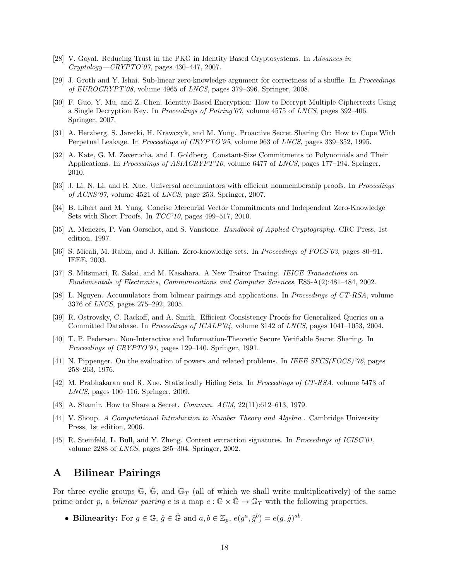- [28] V. Goyal. Reducing Trust in the PKG in Identity Based Cryptosystems. In Advances in Cryptology—CRYPTO'07, pages 430–447, 2007.
- [29] J. Groth and Y. Ishai. Sub-linear zero-knowledge argument for correctness of a shuffle. In Proceedings of EUROCRYPT'08, volume 4965 of LNCS, pages 379–396. Springer, 2008.
- [30] F. Guo, Y. Mu, and Z. Chen. Identity-Based Encryption: How to Decrypt Multiple Ciphertexts Using a Single Decryption Key. In Proceedings of Pairing'07, volume 4575 of LNCS, pages 392–406. Springer, 2007.
- [31] A. Herzberg, S. Jarecki, H. Krawczyk, and M. Yung. Proactive Secret Sharing Or: How to Cope With Perpetual Leakage. In *Proceedings of CRYPTO'95*, volume 963 of *LNCS*, pages 339–352, 1995.
- [32] A. Kate, G. M. Zaverucha, and I. Goldberg. Constant-Size Commitments to Polynomials and Their Applications. In *Proceedings of ASIACRYPT'10*, volume 6477 of *LNCS*, pages 177–194. Springer, 2010.
- [33] J. Li, N. Li, and R. Xue. Universal accumulators with efficient nonmembership proofs. In Proceedings of ACNS'07, volume 4521 of LNCS, page 253. Springer, 2007.
- [34] B. Libert and M. Yung. Concise Mercurial Vector Commitments and Independent Zero-Knowledge Sets with Short Proofs. In  $TCC'10$ , pages 499–517, 2010.
- [35] A. Menezes, P. Van Oorschot, and S. Vanstone. Handbook of Applied Cryptography. CRC Press, 1st edition, 1997.
- [36] S. Micali, M. Rabin, and J. Kilian. Zero-knowledge sets. In *Proceedings of FOCS'03*, pages 80–91. IEEE, 2003.
- [37] S. Mitsunari, R. Sakai, and M. Kasahara. A New Traitor Tracing. IEICE Transactions on Fundamentals of Electronics, Communications and Computer Sciences, E85-A(2):481–484, 2002.
- [38] L. Nguyen. Accumulators from bilinear pairings and applications. In Proceedings of CT-RSA, volume 3376 of LNCS, pages 275–292, 2005.
- [39] R. Ostrovsky, C. Rackoff, and A. Smith. Efficient Consistency Proofs for Generalized Queries on a Committed Database. In Proceedings of ICALP'04, volume 3142 of LNCS, pages 1041–1053, 2004.
- [40] T. P. Pedersen. Non-Interactive and Information-Theoretic Secure Verifiable Secret Sharing. In Proceedings of CRYPTO'91, pages 129–140. Springer, 1991.
- [41] N. Pippenger. On the evaluation of powers and related problems. In IEEE SFCS(FOCS)'76, pages 258–263, 1976.
- [42] M. Prabhakaran and R. Xue. Statistically Hiding Sets. In Proceedings of CT-RSA, volume 5473 of LNCS, pages 100–116. Springer, 2009.
- [43] A. Shamir. How to Share a Secret. Commun. ACM, 22(11):612–613, 1979.
- [44] V. Shoup. A Computational Introduction to Number Theory and Algebra . Cambridge University Press, 1st edition, 2006.
- [45] R. Steinfeld, L. Bull, and Y. Zheng. Content extraction signatures. In Proceedings of ICISC'01, volume 2288 of LNCS, pages 285–304. Springer, 2002.

## A Bilinear Pairings

For three cyclic groups  $\mathbb{G}, \tilde{\mathbb{G}}$ , and  $\mathbb{G}_T$  (all of which we shall write multiplicatively) of the same prime order p, a bilinear pairing e is a map  $e : \mathbb{G} \times \mathbb{G} \to \mathbb{G}_T$  with the following properties.

• Bilinearity: For  $g \in \mathbb{G}$ ,  $\hat{g} \in \hat{\mathbb{G}}$  and  $a, b \in \mathbb{Z}_p$ ,  $e(g^a, \hat{g}^b) = e(g, \hat{g})^{ab}$ .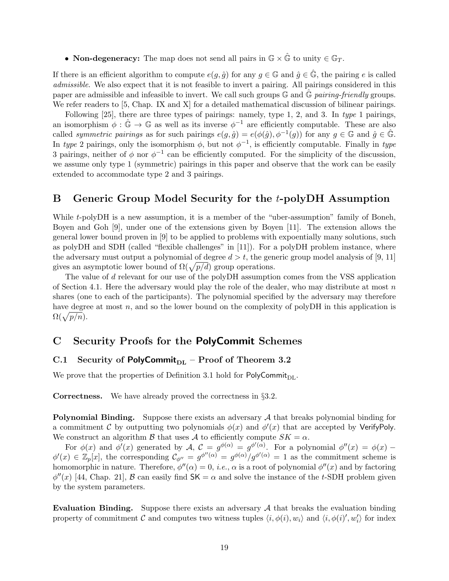• Non-degeneracy: The map does not send all pairs in  $\mathbb{G} \times \hat{\mathbb{G}}$  to unity  $\in \mathbb{G}_T$ .

If there is an efficient algorithm to compute  $e(g, \hat{g})$  for any  $g \in \mathbb{G}$  and  $\hat{g} \in \hat{\mathbb{G}}$ , the pairing e is called admissible. We also expect that it is not feasible to invert a pairing. All pairings considered in this paper are admissible and infeasible to invert. We call such groups  $\mathbb{G}$  and  $\mathbb{G}$  pairing-friendly groups. We refer readers to [5, Chap. IX and X] for a detailed mathematical discussion of bilinear pairings.

Following [25], there are three types of pairings: namely, type 1, 2, and 3. In type 1 pairings, an isomorphism  $\phi : \hat{\mathbb{G}} \to \mathbb{G}$  as well as its inverse  $\phi^{-1}$  are efficiently computable. These are also called *symmetric pairings* as for such pairings  $e(g, \hat{g}) = e(\phi(\hat{g}), \phi^{-1}(g))$  for any  $g \in \mathbb{G}$  and  $\hat{g} \in \hat{\mathbb{G}}$ . In type 2 pairings, only the isomorphism  $\phi$ , but not  $\phi^{-1}$ , is efficiently computable. Finally in type 3 pairings, neither of  $\phi$  nor  $\phi^{-1}$  can be efficiently computed. For the simplicity of the discussion, we assume only type 1 (symmetric) pairings in this paper and observe that the work can be easily extended to accommodate type 2 and 3 pairings.

## B Generic Group Model Security for the t-polyDH Assumption

While t-polyDH is a new assumption, it is a member of the "uber-assumption" family of Boneh, Boyen and Goh [9], under one of the extensions given by Boyen [11]. The extension allows the general lower bound proven in [9] to be applied to problems with expoentially many solutions, such as polyDH and SDH (called "flexible challenges" in [11]). For a polyDH problem instance, where the adversary must output a polynomial of degree  $d > t$ , the generic group model analysis of [9, 11] gives an asymptotic lower bound of  $\Omega(\sqrt{p/d})$  group operations.

The value of d relevant for our use of the polyDH assumption comes from the VSS application of Section 4.1. Here the adversary would play the role of the dealer, who may distribute at most n shares (one to each of the participants). The polynomial specified by the adversary may therefore have degree at most n, and so the lower bound on the complexity of polyDH in this application is  $\Omega(\sqrt{p/n}).$ 

### C Security Proofs for the PolyCommit Schemes

### C.1 Security of PolyCommit<sub>DL</sub> – Proof of Theorem 3.2

We prove that the properties of Definition 3.1 hold for PolyCommit $_{\text{DL}}$ .

Correctness. We have already proved the correctness in §3.2.

**Polynomial Binding.** Suppose there exists an adversary  $A$  that breaks polynomial binding for a commitment C by outputting two polynomials  $\phi(x)$  and  $\phi'(x)$  that are accepted by VerifyPoly. We construct an algorithm B that uses A to efficiently compute  $SK = \alpha$ .

For  $\phi(x)$  and  $\phi'(x)$  generated by  $\mathcal{A}, \mathcal{C} = g^{\phi(\alpha)} = g^{\phi'(\alpha)}$ . For a polynomial  $\phi''(x) = \phi(x)$  - $\phi'(x) \in \mathbb{Z}_p[x]$ , the corresponding  $\mathcal{C}_{\phi''} = g^{\phi''(\alpha)} = g^{\phi(\alpha)}/g^{\phi'(\alpha)} = 1$  as the commitment scheme is homomorphic in nature. Therefore,  $\phi''(\alpha) = 0$ , *i.e.*,  $\alpha$  is a root of polynomial  $\phi''(x)$  and by factoring  $\phi''(x)$  [44, Chap. 21], B can easily find  $SK = \alpha$  and solve the instance of the t-SDH problem given by the system parameters.

Evaluation Binding. Suppose there exists an adversary  $A$  that breaks the evaluation binding property of commitment  $C$  and computes two witness tuples  $\langle i, \phi(i), w_i \rangle$  and  $\langle i, \phi(i)', w_i' \rangle$  for index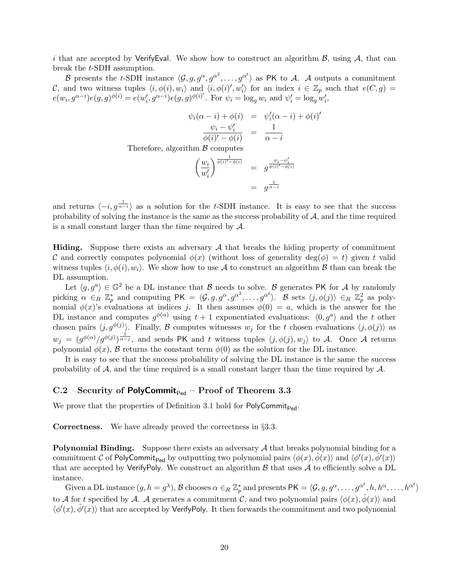i that are accepted by VerifyEval. We show how to construct an algorithm  $\mathcal{B}$ , using  $\mathcal{A}$ , that can break the t-SDH assumption.

B presents the t-SDH instance  $\langle \mathcal{G}, g, g^{\alpha}, g^{\alpha^2}, \ldots, g^{\alpha^t} \rangle$  as PK to A. A outputs a commitment C, and two witness tuples  $\langle i, \phi(i), w_i \rangle$  and  $\langle i, \phi(i)', w_i' \rangle$  for an index  $i \in \mathbb{Z}_p$  such that  $e(C, g)$  $e(w_i, g^{\alpha-i})e(g, g)^{\phi(i)} = e(w'_i, g^{\alpha-i})e(g, g)^{\phi(i)}$ . For  $\psi_i = \log_g w_i$  and  $\psi'_i = \log_g w'_i$ ,

$$
\psi_i(\alpha - i) + \phi(i) = \psi'_i(\alpha - i) + \phi(i)'
$$

$$
\frac{\psi_i - \psi'_i}{\phi(i)' - \phi(i)} = \frac{1}{\alpha - i}
$$

Therefore, algorithm  $\beta$  computes

$$
\left(\frac{w_i}{w'_i}\right)^{\frac{1}{\phi(i)'-\phi(i)}} = g^{\frac{\psi_i - \psi'_i}{\phi(i)'-\phi(i)}}
$$

$$
= g^{\frac{1}{\alpha-i}}
$$

and returns  $\langle -i, g^{\frac{1}{\alpha-i}} \rangle$  as a solution for the t-SDH instance. It is easy to see that the success probability of solving the instance is the same as the success probability of  $A$ , and the time required is a small constant larger than the time required by  $A$ .

**Hiding.** Suppose there exists an adversary  $A$  that breaks the hiding property of commitment C and correctly computes polynomial  $\phi(x)$  (without loss of generality deg( $\phi$ ) = t) given t valid witness tuples  $\langle i, \phi(i), w_i \rangle$ . We show how to use A to construct an algorithm B than can break the DL assumption.

Let  $\langle g, g^a \rangle \in \mathbb{G}^2$  be a DL instance that B needs to solve. B generates PK for A by randomly picking  $\alpha \in_R \mathbb{Z}_p^*$  and computing  $PK = \langle \mathcal{G}, g, g^{\alpha}, g^{\alpha^2}, \dots, g^{\alpha^t} \rangle$ .  $\mathcal{B}$  sets  $\langle j, \phi(j) \rangle \in_R \mathbb{Z}_p^2$  as polynomial  $\phi(x)$ 's evaluations at indices j. It then assumes  $\phi(0) = a$ , which is the answer for the DL instance and computes  $g^{\phi(\alpha)}$  using  $t+1$  exponentiated evaluations:  $\langle 0, g^{\alpha} \rangle$  and the t other chosen pairs  $\langle j, g^{\phi(j)} \rangle$ . Finally, B computes witnesses  $w_j$  for the t chosen evaluations  $\langle j, \phi(j) \rangle$  as  $w_j = (g^{\phi(\alpha)}/g^{\phi(j)})^{\frac{1}{\alpha-j}}$ , and sends PK and t witness tuples  $\langle j, \phi(j), w_j \rangle$  to A. Once A returns polynomial  $\phi(x)$ , B returns the constant term  $\phi(0)$  as the solution for the DL instance.

It is easy to see that the success probability of solving the DL instance is the same the success probability of  $A$ , and the time required is a small constant larger than the time required by  $A$ .

### C.2 Security of PolyCommit<sub>Ped</sub> – Proof of Theorem 3.3

We prove that the properties of Definition 3.1 hold for  $PolyCommit_{Ped}$ .

Correctness. We have already proved the correctness in §3.3.

**Polynomial Binding.** Suppose there exists an adversary  $A$  that breaks polynomial binding for a commitment C of PolyCommit<sub>Ped</sub> by outputting two polynomial pairs  $\langle \phi(x), \hat{\phi}(x) \rangle$  and  $\langle \phi'(x), \hat{\phi}'(x) \rangle$ that are accepted by VerifyPoly. We construct an algorithm  $\beta$  that uses  $\mathcal A$  to efficiently solve a DL instance.

Given a DL instance  $(g, h = g^{\lambda}), \mathcal{B}$  chooses  $\alpha \in_R \mathbb{Z}_p^*$  and presents  $\mathsf{PK} = \langle \mathcal{G}, g, g^{\alpha}, \dots, g^{\alpha^t}, h, h^{\alpha}, \dots, h^{\alpha^t} \rangle$ to A for t specified by A. A generates a commitment C, and two polynomial pairs  $\langle \phi(x), \hat{\phi}(x) \rangle$  and  $\langle \phi'(x), \hat{\phi}'(x) \rangle$  that are accepted by VerifyPoly. It then forwards the commitment and two polynomial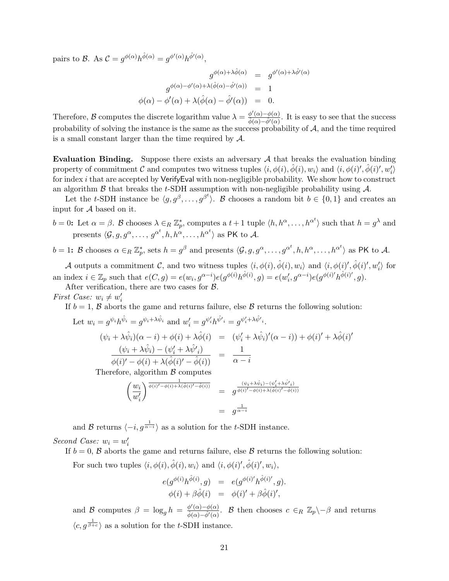pairs to B. As  $\mathcal{C} = g^{\phi(\alpha)} h^{\hat{\phi}(\alpha)} = g^{\phi'(\alpha)} h^{\hat{\phi}'(\alpha)}$ ,

$$
g^{\phi(\alpha)+\lambda\hat{\phi}(\alpha)} = g^{\phi'(\alpha)+\lambda\hat{\phi}'(\alpha)}
$$

$$
g^{\phi(\alpha)-\phi'(\alpha)+\lambda(\hat{\phi}(\alpha)-\hat{\phi}'(\alpha))} = 1
$$

$$
\phi(\alpha) - \phi'(\alpha) + \lambda(\hat{\phi}(\alpha) - \hat{\phi}'(\alpha)) = 0.
$$

Therefore, B computes the discrete logarithm value  $\lambda = \frac{\phi'(\alpha) - \phi(\alpha)}{\hat{i}(\alpha) - \hat{j}(\alpha)}$  $\frac{\varphi(\alpha) - \varphi(\alpha)}{\hat{\varphi}(\alpha) - \hat{\varphi}'(\alpha)}$ . It is easy to see that the success probability of solving the instance is the same as the success probability of  $A$ , and the time required is a small constant larger than the time required by  $\mathcal{A}$ .

Evaluation Binding. Suppose there exists an adversary  $A$  that breaks the evaluation binding property of commitment  $C$  and computes two witness tuples  $\langle i, \phi(i), \hat{\phi}(i), w_i \rangle$  and  $\langle i, \phi(i)', \hat{\phi}(i)', w_i' \rangle$ for index i that are accepted by VerifyEval with non-negligible probability. We show how to construct an algorithm  $\beta$  that breaks the t-SDH assumption with non-negligible probability using  $\mathcal{A}$ .

Let the t-SDH instance be  $\langle g, g^{\beta}, \ldots, g^{\beta^t} \rangle$ . B chooses a random bit  $b \in \{0, 1\}$  and creates an input for  $A$  based on it.

 $b = 0$ : Let  $\alpha = \beta$ . B chooses  $\lambda \in_R \mathbb{Z}_p^*$ , computes a  $t + 1$  tuple  $\langle h, h^{\alpha}, \ldots, h^{\alpha^t} \rangle$  such that  $h = g^{\lambda}$  and presents  $\langle \mathcal{G}, g, g^{\alpha}, \ldots, g^{\alpha^t}, h, h^{\alpha}, \ldots, h^{\alpha^t} \rangle$  as PK to A.

 $b = 1$ : B chooses  $\alpha \in_R \mathbb{Z}_p^*$ , sets  $h = g^{\beta}$  and presents  $\langle \mathcal{G}, g, g^{\alpha}, \ldots, g^{\alpha^t}, h, h^{\alpha}, \ldots, h^{\alpha^t} \rangle$  as PK to A.

A outputs a commitment C, and two witness tuples  $\langle i, \phi(i), \hat{\phi}(i), w_i \rangle$  and  $\langle i, \phi(i)', \hat{\phi}(i)', w_i' \rangle$  for an index  $i \in \mathbb{Z}_p$  such that  $e(C, g) = e(w_i, g^{\alpha - i}) e(g^{\phi(i)} h^{\hat{\phi}(i)}, g) = e(w'_i, g^{\alpha - i}) e(g^{\phi(i)} h^{\hat{\phi}(i)'}, g)$ . After verification, there are two cases for  $\beta$ .

First Case:  $w_i \neq w'_i$ 

If  $b = 1$ ,  $\beta$  aborts the game and returns failure, else  $\beta$  returns the following solution:

Let 
$$
w_i = g^{\psi_i} h^{\hat{\psi}_i} = g^{\psi_i + \lambda \hat{\psi}_i}
$$
 and  $w'_i = g^{\psi'_i} h^{\hat{\psi'}_i} = g^{\psi'_i + \lambda \hat{\psi}'_i}$ .  
\n
$$
(\psi_i + \lambda \hat{\psi}_i)(\alpha - i) + \phi(i) + \lambda \hat{\phi}(i) = (\psi'_i + \lambda \hat{\psi}_i)'(\alpha - i) + \phi(i)' + \lambda \hat{\phi}(i)'
$$
\n
$$
\frac{(\psi_i + \lambda \hat{\psi}_i) - (\psi'_i + \lambda \hat{\psi}'_i)}{\phi(i)' - \phi(i) + \lambda (\hat{\phi}(i)' - \hat{\phi}(i))} = \frac{1}{\alpha - i}
$$
\nTherefore, algorithm  $\mathcal{B}$  computes\n
$$
\left(\frac{w_i}{w'_i}\right)^{\frac{1}{\phi(i)' - \phi(i) + \lambda(\hat{\phi}(i)' - \hat{\phi}(i))} = g^{\frac{(\psi_i + \lambda \hat{\psi}_i) - (\psi'_i + \lambda \hat{\psi}'_i)}{\phi(i)' - \phi(i) + \lambda(\hat{\phi}(i)' - \hat{\phi}(i))}}
$$
\n
$$
= g^{\frac{1}{\alpha - i}}
$$

and B returns  $\langle -i, g^{\frac{1}{\alpha-i}} \rangle$  as a solution for the t-SDH instance. Second Case:  $w_i = w'_i$ 

If  $b = 0$ ,  $\beta$  aborts the game and returns failure, else  $\beta$  returns the following solution:

For such two tuples  $\langle i, \phi(i), \hat{\phi}(i), w_i \rangle$  and  $\langle i, \phi(i)', \hat{\phi}(i)', w_i \rangle$ ,

$$
e(g^{\phi(i)}h^{\hat{\phi}(i)},g) = e(g^{\phi(i)'}h^{\hat{\phi}(i)'},g).
$$
  

$$
\phi(i) + \beta \hat{\phi}(i) = \phi(i)' + \beta \hat{\phi}(i)',
$$

and B computes  $\beta = \log_g h = \frac{\phi'(\alpha) - \phi(\alpha)}{\hat{\phi}(\alpha) - \hat{\phi}'(\alpha)}$  $\frac{\phi'(\alpha)-\phi(\alpha)}{\hat{\phi}(\alpha)-\hat{\phi}'(\alpha)}$ . B then chooses  $c \in_R \mathbb{Z}_p\setminus -\beta$  and returns  $\langle c, g^{\frac{1}{\beta+c}} \rangle$  as a solution for the t-SDH instance.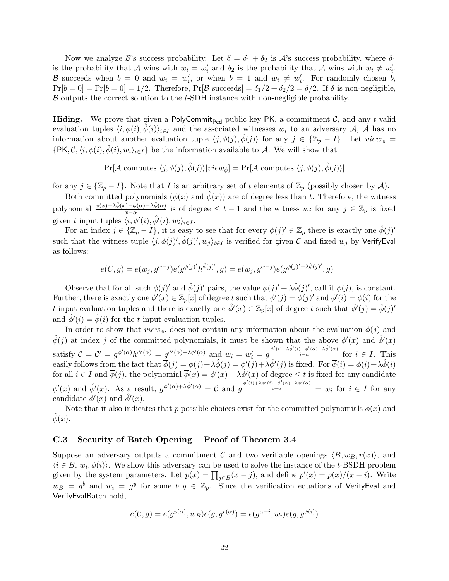Now we analyze B's success probability. Let  $\delta = \delta_1 + \delta_2$  is A's success probability, where  $\delta_1$ is the probability that A wins with  $w_i = w'_i$  and  $\delta_2$  is the probability that A wins with  $w_i \neq w'_i$ . B succeeds when  $b = 0$  and  $w_i = w'_i$ , or when  $b = 1$  and  $w_i \neq w'_i$ . For randomly chosen b,  $Pr[b=0] = Pr[b=0] = 1/2$ . Therefore,  $Pr[\mathcal{B} \text{ succeeds}] = \delta_1/2 + \delta_2/2 = \delta/2$ . If  $\delta$  is non-negligible,  $\beta$  outputs the correct solution to the t-SDH instance with non-negligible probability.

**Hiding.** We prove that given a PolyCommit<sub>Ped</sub> public key PK, a commitment  $C$ , and any t valid evaluation tuples  $\langle i, \phi(i), \phi(i)\rangle_{i\in I}$  and the associated witnesses  $w_i$  to an adversary A, A has no information about another evaluation tuple  $\langle j, \phi(j), \phi(j) \rangle$  for any  $j \in \{\mathbb{Z}_p - I\}$ . Let  $view_{\phi} =$  $\{PK, \mathcal{C}, \langle i, \phi(i), \hat{\phi}(i), w_i \rangle_{i \in I} \}$  be the information available to A. We will show that

$$
\Pr[\mathcal{A} \text{ computes } \langle j, \phi(j), \hat{\phi}(j) \rangle | view_{\phi}] = \Pr[\mathcal{A} \text{ computes } \langle j, \phi(j), \hat{\phi}(j) \rangle]
$$

for any  $j \in {\mathbb{Z}}_p - I$ . Note that I is an arbitrary set of t elements of  $\mathbb{Z}_p$  (possibly chosen by A).

Both committed polynomials  $(\phi(x)$  and  $\phi(x)$  are of degree less than t. Therefore, the witness polynomial  $\frac{\phi(x)+\lambda\hat{\phi}(x)-\phi(\alpha)-\lambda\hat{\phi}(\alpha)}{x-\alpha}$  is of degree  $\leq t-1$  and the witness  $w_j$  for any  $j \in \mathbb{Z}_p$  is fixed given t input tuples  $\langle i, \phi'(i), \hat{\phi}'(i), w_i \rangle_{i \in I}$ .

For an index  $j \in \{\mathbb{Z}_p - I\}$ , it is easy to see that for every  $\phi(j)' \in \mathbb{Z}_p$  there is exactly one  $\hat{\phi}(j)'$ such that the witness tuple  $\langle j,\phi(j)',\hat\phi(j)',w_j\rangle_{i\in I}$  is verified for given C and fixed  $w_j$  by VerifyEval as follows:

$$
e(C, g) = e(w_j, g^{\alpha - j}) e(g^{\phi(j)'} h^{\hat{\phi}(j)'}, g) = e(w_j, g^{\alpha - j}) e(g^{\phi(j)'+\lambda \hat{\phi}(j)'}, g)
$$

Observe that for all such  $\phi(j)'$  and  $\hat{\phi}(j)'$  pairs, the value  $\phi(j)' + \lambda \hat{\phi}(j)'$ , call it  $\overline{\phi}(j)$ , is constant. Further, there is exactly one  $\phi'(x) \in \mathbb{Z}_p[x]$  of degree t such that  $\phi'(j) = \phi(j)'$  and  $\phi'(i) = \phi(i)$  for the t input evaluation tuples and there is exactly one  $\hat{\phi}'(x) \in \mathbb{Z}_p[x]$  of degree t such that  $\hat{\phi}'(j) = \hat{\phi}(j)'$ and  $\hat{\phi}'(i) = \hat{\phi}(i)$  for the t input evaluation tuples.

In order to show that  $view_{\phi}$ , does not contain any information about the evaluation  $\phi(j)$  and  $\hat{\phi}(j)$  at index j of the committed polynomials, it must be shown that the above  $\phi'(x)$  and  $\hat{\phi}'(x)$ satisfy  $C = C' = g^{\phi'(\alpha)}h^{\hat{\phi}'(\alpha)} = g^{\phi'(\alpha)+\lambda\hat{\phi}'(\alpha)}$  and  $w_i = w'_i = g^{\frac{\phi'(i)+\lambda\hat{\phi}'(i)-\phi'(\alpha)-\lambda\hat{\phi}'(\alpha)}{i-\alpha}}$  for  $i \in I$ . This easily follows from the fact that  $\bar{\phi}(j) = \phi(j) + \lambda \hat{\phi}(j) = \phi'(j) + \lambda \hat{\phi}'(j)$  is fixed. For  $\bar{\phi}(i) = \phi(i) + \lambda \hat{\phi}(i)$ for all  $i \in I$  and  $\overline{\phi}(j)$ , the polynomial  $\overline{\phi}(x) = \phi'(x) + \lambda \hat{\phi}'(x)$  of degree  $\leq t$  is fixed for any candidate  $\phi'(x)$  and  $\hat{\phi}'(x)$ . As a result,  $g^{\phi'(\alpha)+\lambda \hat{\phi}'(\alpha)} = C$  and  $g^{\frac{\phi'(i)+\lambda \hat{\phi}'(i)-\phi'(\alpha)-\lambda \hat{\phi}'(\alpha)}{i-\alpha}} = w_i$  for  $i \in I$  for any candidate  $\phi'(x)$  and  $\hat{\phi}'(x)$ .

Note that it also indicates that p possible choices exist for the committed polynomials  $\phi(x)$  and  $\phi(x)$ .

### C.3 Security of Batch Opening – Proof of Theorem 3.4

Suppose an adversary outputs a commitment C and two verifiable openings  $\langle B, w_B, r(x) \rangle$ , and  $\langle i \in B, w_i, \phi(i) \rangle$ . We show this adversary can be used to solve the instance of the t-BSDH problem given by the system parameters. Let  $p(x) = \prod_{j \in B} (x - j)$ , and define  $p'(x) = p(x)/(x - i)$ . Write  $w_B = g^b$  and  $w_i = g^y$  for some  $b, y \in \mathbb{Z}_p$ . Since the verification equations of VerifyEval and VerifyEvalBatch hold,

$$
e(\mathcal{C}, g) = e(g^{p(\alpha)}, w_B)e(g, g^{r(\alpha)}) = e(g^{\alpha - i}, w_i)e(g, g^{\phi(i)})
$$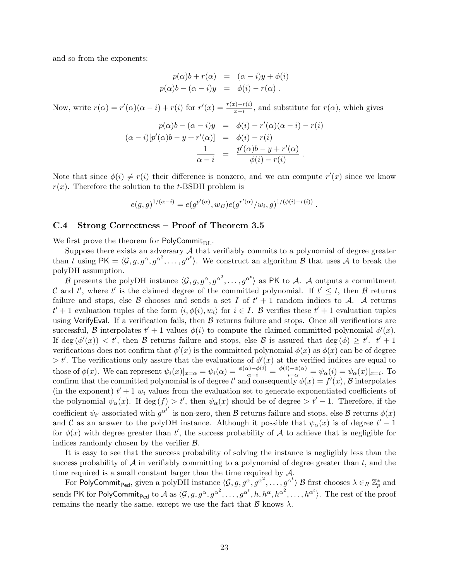and so from the exponents:

$$
p(\alpha)b + r(\alpha) = (\alpha - i)y + \phi(i)
$$
  

$$
p(\alpha)b - (\alpha - i)y = \phi(i) - r(\alpha).
$$

Now, write  $r(\alpha) = r'(\alpha)(\alpha - i) + r(i)$  for  $r'(x) = \frac{r(x) - r(i)}{x - i}$ , and substitute for  $r(\alpha)$ , which gives

$$
p(\alpha)b - (\alpha - i)y = \phi(i) - r'(\alpha)(\alpha - i) - r(i)
$$

$$
(\alpha - i)[p'(\alpha)b - y + r'(\alpha)] = \phi(i) - r(i)
$$

$$
\frac{1}{\alpha - i} = \frac{p'(\alpha)b - y + r'(\alpha)}{\phi(i) - r(i)}.
$$

Note that since  $\phi(i) \neq r(i)$  their difference is nonzero, and we can compute  $r'(x)$  since we know  $r(x)$ . Therefore the solution to the t-BSDH problem is

$$
e(g,g)^{1/(\alpha-i)} = e(g^{p'(\alpha)}, w_B) e(g^{r'(\alpha)}/w_i, g)^{1/(\phi(i)-r(i))}.
$$

#### C.4 Strong Correctness – Proof of Theorem 3.5

We first prove the theorem for PolyCommit $_{\text{DL}}$ .

Suppose there exists an adversary  $A$  that verifiably commits to a polynomial of degree greater than t using  $PK = \langle \mathcal{G}, g, g^{\alpha}, g^{\alpha^2}, \ldots, g^{\alpha^t} \rangle$ . We construct an algorithm B that uses A to break the polyDH assumption.

B presents the polyDH instance  $\langle \mathcal{G}, g, g^{\alpha}, g^{\alpha^2}, \ldots, g^{\alpha^t} \rangle$  as PK to A. A outputs a commitment C and t', where t' is the claimed degree of the committed polynomial. If  $t' \leq t$ , then B returns failure and stops, else  $\beta$  chooses and sends a set I of  $t' + 1$  random indices to A. A returns  $t' + 1$  evaluation tuples of the form  $\langle i, \phi(i), w_i \rangle$  for  $i \in I$ . B verifies these  $t' + 1$  evaluation tuples using VerifyEval. If a verification fails, then  $B$  returns failure and stops. Once all verifications are successful, B interpolates  $t' + 1$  values  $\phi(i)$  to compute the claimed committed polynomial  $\phi'(x)$ . If deg  $(\phi'(x)) < t'$ , then B returns failure and stops, else B is assured that deg  $(\phi) \geq t'$ .  $t' + 1$ verifications does not confirm that  $\phi'(x)$  is the committed polynomial  $\phi(x)$  as  $\phi(x)$  can be of degree  $> t'$ . The verifications only assure that the evaluations of  $\phi'(x)$  at the verified indices are equal to those of  $\phi(x)$ . We can represent  $\psi_i(x)|_{x=\alpha} = \psi_i(\alpha) = \frac{\phi(\alpha) - \phi(i)}{\alpha - i} = \frac{\phi(i) - \phi(\alpha)}{i - \alpha} = \psi_\alpha(i) = \psi_\alpha(x)|_{x=i}$ . To confirm that the committed polynomial is of degree t' and consequently  $\phi(x) = f'(x)$ , B interpolates (in the exponent)  $t' + 1$  w<sub>i</sub> values from the evaluation set to generate exponentiated coefficients of the polynomial  $\psi_{\alpha}(x)$ . If  $\deg(f) > t'$ , then  $\psi_{\alpha}(x)$  should be of degree  $>t'-1$ . Therefore, if the coefficient  $\psi_{t'}$  associated with  $g^{\alpha^{t'}}$  is non-zero, then  $B$  returns failure and stops, else  $B$  returns  $\phi(x)$ and C as an answer to the polyDH instance. Although it possible that  $\psi_{\alpha}(x)$  is of degree  $t' - 1$ for  $\phi(x)$  with degree greater than t', the success probability of A to achieve that is negligible for indices randomly chosen by the verifier  $\beta$ .

It is easy to see that the success probability of solving the instance is negligibly less than the success probability of  $A$  in verifiably committing to a polynomial of degree greater than  $t$ , and the time required is a small constant larger than the time required by A.

For PolyCommit<sub>Ped</sub>, given a polyDH instance  $\langle \mathcal{G}, g, g^\alpha, g^{\alpha^2}, \ldots, g^{\alpha^t}\rangle$   $\mathcal B$  first chooses  $\lambda\in_R\mathbb Z_p^*$  and sends PK for PolyCommit<sub>Ped</sub> to  $\mathcal A$  as  $\langle \mathcal G,g,g^\alpha, g^{\alpha^2},\ldots, g^{\alpha^t},h,h^\alpha,h^{\alpha^2},\ldots, h^{\alpha^t}\rangle.$  The rest of the proof remains the nearly the same, except we use the fact that  $\beta$  knows  $\lambda$ .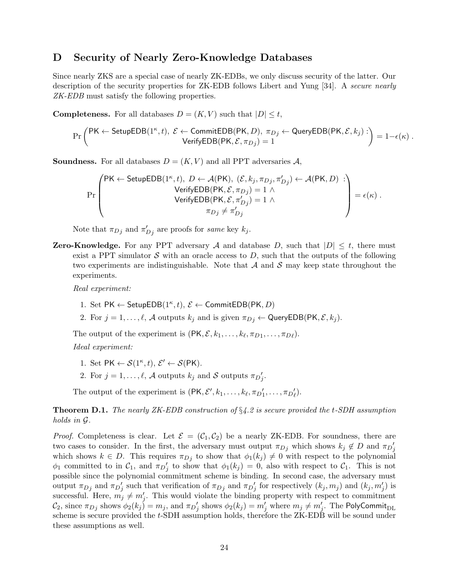### D Security of Nearly Zero-Knowledge Databases

Since nearly ZKS are a special case of nearly ZK-EDBs, we only discuss security of the latter. Our description of the security properties for ZK-EDB follows Libert and Yung [34]. A secure nearly ZK-EDB must satisfy the following properties.

**Completeness.** For all databases  $D = (K, V)$  such that  $|D| \le t$ ,

$$
\Pr\left(\mathsf{PK} \leftarrow \mathsf{SetupEDB}(1^\kappa, t), \ \mathcal{E} \leftarrow \mathsf{CommitEDB}(\mathsf{PK}, D), \ \pi_{Dj} \leftarrow \mathsf{QueryEDB}(\mathsf{PK}, \mathcal{E}, k_j) : \right) = 1 - \epsilon(\kappa) \ .
$$
 
$$
\mathsf{VerifyEDB}(\mathsf{PK}, \mathcal{E}, \pi_{Dj}) = 1
$$

**Soundness.** For all databases  $D = (K, V)$  and all PPT adversaries A,

$$
\Pr\left(\begin{matrix} \mathsf{PK} \leftarrow \mathsf{SetupEDB}(1^{\kappa},t),\ D \leftarrow \mathcal{A}(\mathsf{PK}),\ (\mathcal{E},k_j,\pi_{Dj},\pi'_{Dj}) \leftarrow \mathcal{A}(\mathsf{PK},D) : \\ \mathsf{VerifyEDB}(\mathsf{PK},\mathcal{E},\pi_{Dj}) = 1 \wedge \\ \mathsf{VerifyEDB}(\mathsf{PK},\mathcal{E},\pi'_{Dj}) = 1 \wedge \\ \pi_{Dj} \neq \pi'_{Dj} \end{matrix}\right) = \epsilon(\kappa) .
$$

Note that  $\pi_{D_j}$  and  $\pi'_{D_j}$  are proofs for *same* key  $k_j$ .

**Zero-Knowledge.** For any PPT adversary A and database D, such that  $|D| \leq t$ , there must exist a PPT simulator  $S$  with an oracle access to  $D$ , such that the outputs of the following two experiments are indistinguishable. Note that  $A$  and  $S$  may keep state throughout the experiments.

Real experiment:

- 1. Set PK  $\leftarrow$  SetupEDB(1<sup> $\kappa$ </sup>, t),  $\mathcal{E} \leftarrow$  CommitEDB(PK, D)
- 2. For  $j = 1, \ldots, \ell, \mathcal{A}$  outputs  $k_j$  and is given  $\pi_{Dj} \leftarrow \mathsf{QueryEDB}(\mathsf{PK}, \mathcal{E}, k_j)$ .

The output of the experiment is  $(PK, \mathcal{E}, k_1, \ldots, k_\ell, \pi_{D1}, \ldots, \pi_{D\ell}).$ 

Ideal experiment:

- 1. Set  $PK \leftarrow \mathcal{S}(1^{\kappa}, t), \mathcal{E}' \leftarrow \mathcal{S}(PK)$ .
- 2. For  $j = 1, ..., \ell$ , A outputs  $k_j$  and S outputs  $\pi D'_j$ .

The output of the experiment is  $(\mathsf{PK}, \mathcal{E}', k_1, \ldots, k_\ell, \pi_{D'_1}, \ldots, \pi_{D'_\ell}).$ 

**Theorem D.1.** The nearly ZK-EDB construction of  $\S4.2$  is secure provided the t-SDH assumption holds in G.

*Proof.* Completeness is clear. Let  $\mathcal{E} = (\mathcal{C}_1, \mathcal{C}_2)$  be a nearly ZK-EDB. For soundness, there are two cases to consider. In the first, the adversary must output  $\pi_{D_j}$  which shows  $k_j \notin D$  and  $\pi_{D_j}$ which shows  $k \in D$ . This requires  $\pi_{D_j}$  to show that  $\phi_1(k_j) \neq 0$  with respect to the polynomial  $\phi_1$  committed to in  $\mathcal{C}_1$ , and  $\pi D'_j$  to show that  $\phi_1(k_j) = 0$ , also with respect to  $\mathcal{C}_1$ . This is not possible since the polynomial commitment scheme is binding. In second case, the adversary must output  $\pi_{D_j}$  and  $\pi_{D_j}$  such that verification of  $\pi_{D_j}$  and  $\pi_{D_j}$  for respectively  $(k_j, m_j)$  and  $(k_j, m'_j)$  is successful. Here,  $m_j \neq m'_j$ . This would violate the binding property with respect to commitment  $\mathcal{C}_2$ , since  $\pi_{Dj}$  shows  $\phi_2(k_j)=m_j,$  and  $\pi_{Dj}'$  shows  $\phi_2(k_j)=m_j'$  where  $m_j\neq m_j'$ . The <code>PolyCommit</code> scheme is secure provided the t-SDH assumption holds, therefore the ZK-EDB will be sound under these assumptions as well.